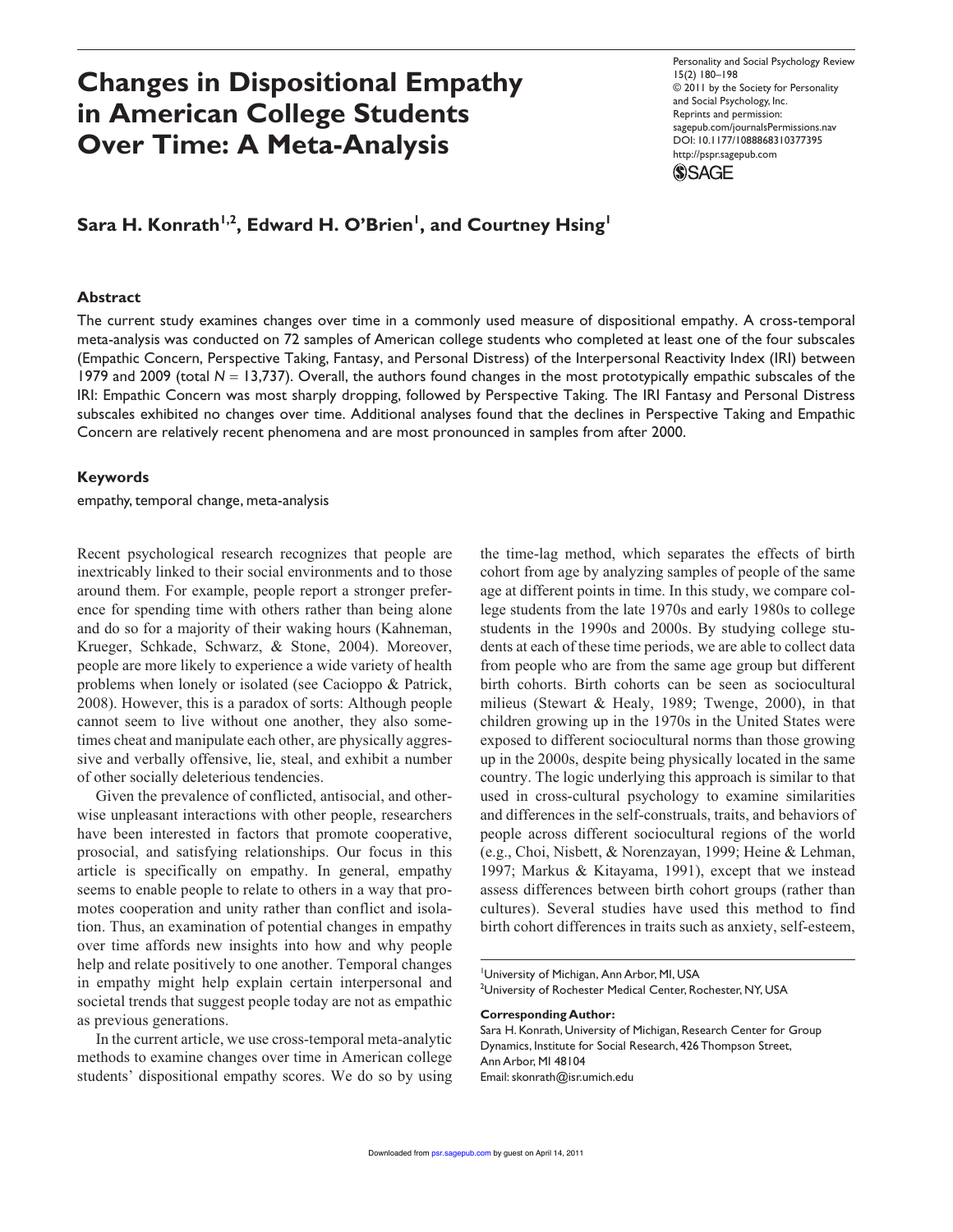# **Changes in Dispositional Empathy in American College Students Over Time: A Meta-Analysis**

Personality and Social Psychology Review 15(2) 180–198 © 2011 by the Society for Personality and Social Psychology, Inc. Reprints and permission: sagepub.com/journalsPermissions.nav DOI: 10.1177/1088868310377395 http://pspr.sagepub.com



## Sara H. Konrath<sup>1,2</sup>, Edward H. O'Brien<sup>1</sup>, and Courtney Hsing<sup>1</sup>

## **Abstract**

The current study examines changes over time in a commonly used measure of dispositional empathy. A cross-temporal meta-analysis was conducted on 72 samples of American college students who completed at least one of the four subscales (Empathic Concern, Perspective Taking, Fantasy, and Personal Distress) of the Interpersonal Reactivity Index (IRI) between 1979 and 2009 (total N = 13,737). Overall, the authors found changes in the most prototypically empathic subscales of the IRI: Empathic Concern was most sharply dropping, followed by Perspective Taking. The IRI Fantasy and Personal Distress subscales exhibited no changes over time. Additional analyses found that the declines in Perspective Taking and Empathic Concern are relatively recent phenomena and are most pronounced in samples from after 2000.

## **Keywords**

empathy, temporal change, meta-analysis

Recent psychological research recognizes that people are inextricably linked to their social environments and to those around them. For example, people report a stronger preference for spending time with others rather than being alone and do so for a majority of their waking hours (Kahneman, Krueger, Schkade, Schwarz, & Stone, 2004). Moreover, people are more likely to experience a wide variety of health problems when lonely or isolated (see Cacioppo & Patrick, 2008). However, this is a paradox of sorts: Although people cannot seem to live without one another, they also sometimes cheat and manipulate each other, are physically aggressive and verbally offensive, lie, steal, and exhibit a number of other socially deleterious tendencies.

Given the prevalence of conflicted, antisocial, and otherwise unpleasant interactions with other people, researchers have been interested in factors that promote cooperative, prosocial, and satisfying relationships. Our focus in this article is specifically on empathy. In general, empathy seems to enable people to relate to others in a way that promotes cooperation and unity rather than conflict and isolation. Thus, an examination of potential changes in empathy over time affords new insights into how and why people help and relate positively to one another. Temporal changes in empathy might help explain certain interpersonal and societal trends that suggest people today are not as empathic as previous generations.

In the current article, we use cross-temporal meta-analytic methods to examine changes over time in American college students' dispositional empathy scores. We do so by using the time-lag method, which separates the effects of birth cohort from age by analyzing samples of people of the same age at different points in time. In this study, we compare college students from the late 1970s and early 1980s to college students in the 1990s and 2000s. By studying college students at each of these time periods, we are able to collect data from people who are from the same age group but different birth cohorts. Birth cohorts can be seen as sociocultural milieus (Stewart & Healy, 1989; Twenge, 2000), in that children growing up in the 1970s in the United States were exposed to different sociocultural norms than those growing up in the 2000s, despite being physically located in the same country. The logic underlying this approach is similar to that used in cross-cultural psychology to examine similarities and differences in the self-construals, traits, and behaviors of people across different sociocultural regions of the world (e.g., Choi, Nisbett, & Norenzayan, 1999; Heine & Lehman, 1997; Markus & Kitayama, 1991), except that we instead assess differences between birth cohort groups (rather than cultures). Several studies have used this method to find birth cohort differences in traits such as anxiety, self-esteem,

1 University of Michigan, Ann Arbor, MI, USA <sup>2</sup>University of Rochester Medical Center, Rochester, NY, USA

**Corresponding Author:**

Sara H. Konrath, University of Michigan, Research Center for Group Dynamics, Institute for Social Research, 426 Thompson Street, Ann Arbor, MI 48104 Email: skonrath@isr.umich.edu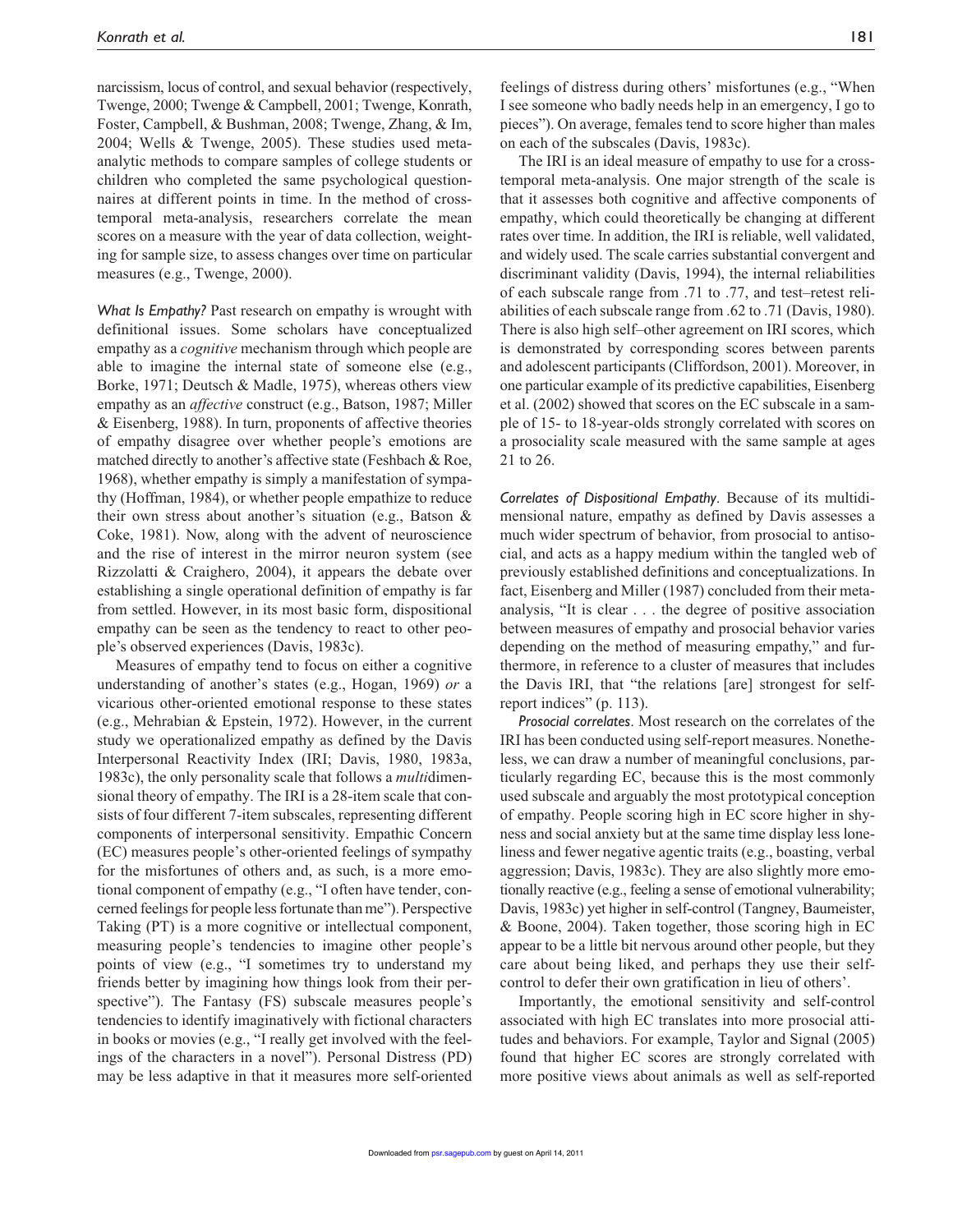narcissism, locus of control, and sexual behavior (respectively, Twenge, 2000; Twenge & Campbell, 2001; Twenge, Konrath, Foster, Campbell, & Bushman, 2008; Twenge, Zhang, & Im, 2004; Wells & Twenge, 2005). These studies used metaanalytic methods to compare samples of college students or children who completed the same psychological questionnaires at different points in time. In the method of crosstemporal meta-analysis, researchers correlate the mean scores on a measure with the year of data collection, weighting for sample size, to assess changes over time on particular measures (e.g., Twenge, 2000).

*What Is Empathy?* Past research on empathy is wrought with definitional issues. Some scholars have conceptualized empathy as a *cognitive* mechanism through which people are able to imagine the internal state of someone else (e.g., Borke, 1971; Deutsch & Madle, 1975), whereas others view empathy as an *affective* construct (e.g., Batson, 1987; Miller & Eisenberg, 1988). In turn, proponents of affective theories of empathy disagree over whether people's emotions are matched directly to another's affective state (Feshbach & Roe, 1968), whether empathy is simply a manifestation of sympathy (Hoffman, 1984), or whether people empathize to reduce their own stress about another's situation (e.g., Batson & Coke, 1981). Now, along with the advent of neuroscience and the rise of interest in the mirror neuron system (see Rizzolatti & Craighero, 2004), it appears the debate over establishing a single operational definition of empathy is far from settled. However, in its most basic form, dispositional empathy can be seen as the tendency to react to other people's observed experiences (Davis, 1983c).

Measures of empathy tend to focus on either a cognitive understanding of another's states (e.g., Hogan, 1969) *or* a vicarious other-oriented emotional response to these states (e.g., Mehrabian & Epstein, 1972). However, in the current study we operationalized empathy as defined by the Davis Interpersonal Reactivity Index (IRI; Davis, 1980, 1983a, 1983c), the only personality scale that follows a *multi*dimensional theory of empathy. The IRI is a 28-item scale that consists of four different 7-item subscales, representing different components of interpersonal sensitivity. Empathic Concern (EC) measures people's other-oriented feelings of sympathy for the misfortunes of others and, as such, is a more emotional component of empathy (e.g., "I often have tender, concerned feelings for people less fortunate than me"). Perspective Taking (PT) is a more cognitive or intellectual component, measuring people's tendencies to imagine other people's points of view (e.g., "I sometimes try to understand my friends better by imagining how things look from their perspective"). The Fantasy (FS) subscale measures people's tendencies to identify imaginatively with fictional characters in books or movies (e.g., "I really get involved with the feelings of the characters in a novel"). Personal Distress (PD) may be less adaptive in that it measures more self-oriented

feelings of distress during others' misfortunes (e.g., "When I see someone who badly needs help in an emergency, I go to pieces"). On average, females tend to score higher than males on each of the subscales (Davis, 1983c).

The IRI is an ideal measure of empathy to use for a crosstemporal meta-analysis. One major strength of the scale is that it assesses both cognitive and affective components of empathy, which could theoretically be changing at different rates over time. In addition, the IRI is reliable, well validated, and widely used. The scale carries substantial convergent and discriminant validity (Davis, 1994), the internal reliabilities of each subscale range from .71 to .77, and test–retest reliabilities of each subscale range from .62 to .71 (Davis, 1980). There is also high self–other agreement on IRI scores, which is demonstrated by corresponding scores between parents and adolescent participants (Cliffordson, 2001). Moreover, in one particular example of its predictive capabilities, Eisenberg et al. (2002) showed that scores on the EC subscale in a sample of 15- to 18-year-olds strongly correlated with scores on a prosociality scale measured with the same sample at ages 21 to 26.

*Correlates of Dispositional Empathy*. Because of its multidimensional nature, empathy as defined by Davis assesses a much wider spectrum of behavior, from prosocial to antisocial, and acts as a happy medium within the tangled web of previously established definitions and conceptualizations. In fact, Eisenberg and Miller (1987) concluded from their metaanalysis, "It is clear . . . the degree of positive association between measures of empathy and prosocial behavior varies depending on the method of measuring empathy," and furthermore, in reference to a cluster of measures that includes the Davis IRI, that "the relations [are] strongest for selfreport indices" (p. 113).

*Prosocial correlates*. Most research on the correlates of the IRI has been conducted using self-report measures. Nonetheless, we can draw a number of meaningful conclusions, particularly regarding EC, because this is the most commonly used subscale and arguably the most prototypical conception of empathy. People scoring high in EC score higher in shyness and social anxiety but at the same time display less loneliness and fewer negative agentic traits (e.g., boasting, verbal aggression; Davis, 1983c). They are also slightly more emotionally reactive (e.g., feeling a sense of emotional vulnerability; Davis, 1983c) yet higher in self-control (Tangney, Baumeister, & Boone, 2004). Taken together, those scoring high in EC appear to be a little bit nervous around other people, but they care about being liked, and perhaps they use their selfcontrol to defer their own gratification in lieu of others'.

Importantly, the emotional sensitivity and self-control associated with high EC translates into more prosocial attitudes and behaviors. For example, Taylor and Signal (2005) found that higher EC scores are strongly correlated with more positive views about animals as well as self-reported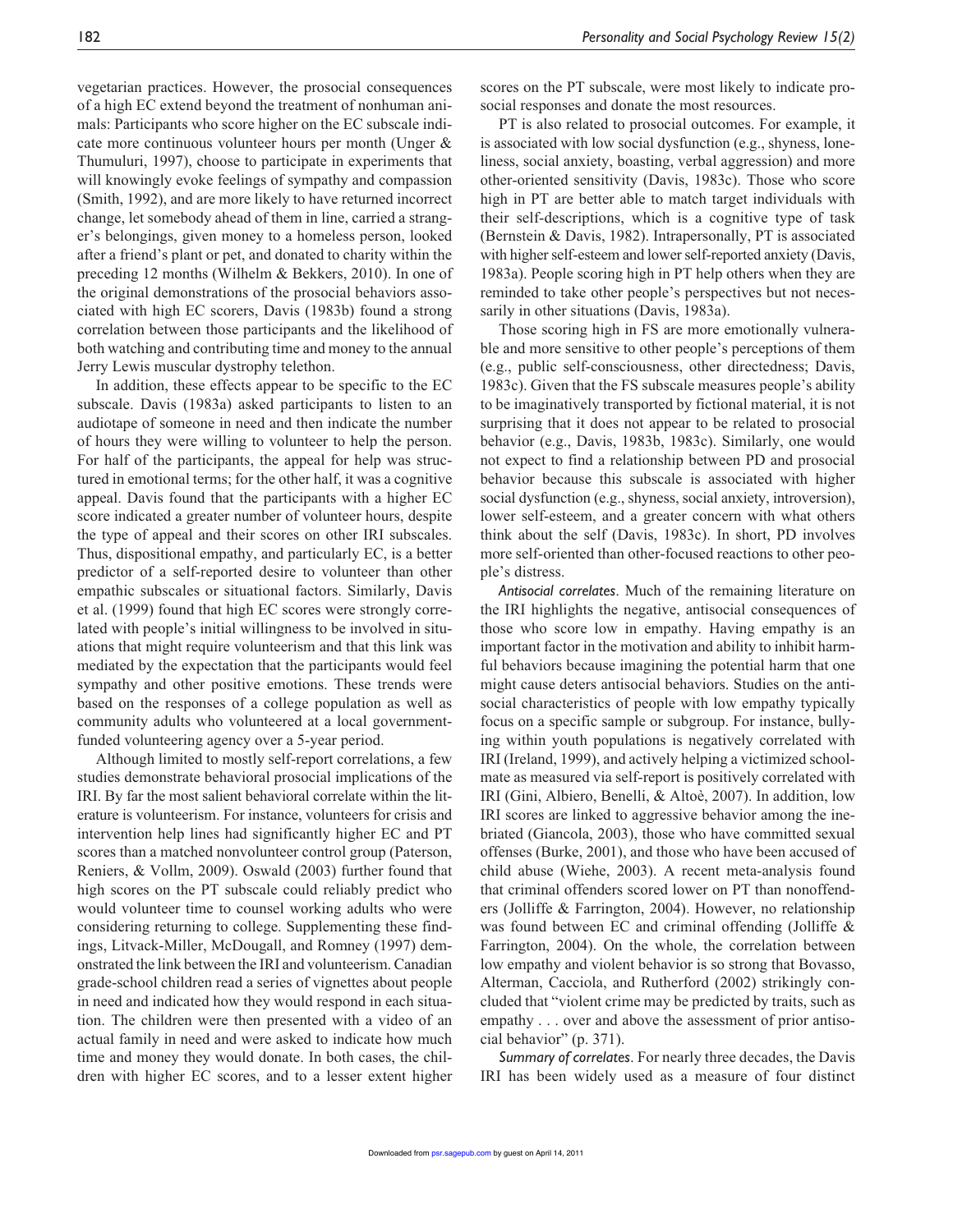vegetarian practices. However, the prosocial consequences of a high EC extend beyond the treatment of nonhuman animals: Participants who score higher on the EC subscale indicate more continuous volunteer hours per month (Unger & Thumuluri, 1997), choose to participate in experiments that will knowingly evoke feelings of sympathy and compassion (Smith, 1992), and are more likely to have returned incorrect change, let somebody ahead of them in line, carried a stranger's belongings, given money to a homeless person, looked after a friend's plant or pet, and donated to charity within the preceding 12 months (Wilhelm & Bekkers, 2010). In one of the original demonstrations of the prosocial behaviors associated with high EC scorers, Davis (1983b) found a strong correlation between those participants and the likelihood of both watching and contributing time and money to the annual Jerry Lewis muscular dystrophy telethon.

In addition, these effects appear to be specific to the EC subscale. Davis (1983a) asked participants to listen to an audiotape of someone in need and then indicate the number of hours they were willing to volunteer to help the person. For half of the participants, the appeal for help was structured in emotional terms; for the other half, it was a cognitive appeal. Davis found that the participants with a higher EC score indicated a greater number of volunteer hours, despite the type of appeal and their scores on other IRI subscales. Thus, dispositional empathy, and particularly EC, is a better predictor of a self-reported desire to volunteer than other empathic subscales or situational factors. Similarly, Davis et al. (1999) found that high EC scores were strongly correlated with people's initial willingness to be involved in situations that might require volunteerism and that this link was mediated by the expectation that the participants would feel sympathy and other positive emotions. These trends were based on the responses of a college population as well as community adults who volunteered at a local governmentfunded volunteering agency over a 5-year period.

Although limited to mostly self-report correlations, a few studies demonstrate behavioral prosocial implications of the IRI. By far the most salient behavioral correlate within the literature is volunteerism. For instance, volunteers for crisis and intervention help lines had significantly higher EC and PT scores than a matched nonvolunteer control group (Paterson, Reniers, & Vollm, 2009). Oswald (2003) further found that high scores on the PT subscale could reliably predict who would volunteer time to counsel working adults who were considering returning to college. Supplementing these findings, Litvack-Miller, McDougall, and Romney (1997) demonstrated the link between the IRI and volunteerism. Canadian grade-school children read a series of vignettes about people in need and indicated how they would respond in each situation. The children were then presented with a video of an actual family in need and were asked to indicate how much time and money they would donate. In both cases, the children with higher EC scores, and to a lesser extent higher scores on the PT subscale, were most likely to indicate prosocial responses and donate the most resources.

PT is also related to prosocial outcomes. For example, it is associated with low social dysfunction (e.g., shyness, loneliness, social anxiety, boasting, verbal aggression) and more other-oriented sensitivity (Davis, 1983c). Those who score high in PT are better able to match target individuals with their self-descriptions, which is a cognitive type of task (Bernstein & Davis, 1982). Intrapersonally, PT is associated with higher self-esteem and lower self-reported anxiety (Davis, 1983a). People scoring high in PT help others when they are reminded to take other people's perspectives but not necessarily in other situations (Davis, 1983a).

Those scoring high in FS are more emotionally vulnerable and more sensitive to other people's perceptions of them (e.g., public self-consciousness, other directedness; Davis, 1983c). Given that the FS subscale measures people's ability to be imaginatively transported by fictional material, it is not surprising that it does not appear to be related to prosocial behavior (e.g., Davis, 1983b, 1983c). Similarly, one would not expect to find a relationship between PD and prosocial behavior because this subscale is associated with higher social dysfunction (e.g., shyness, social anxiety, introversion), lower self-esteem, and a greater concern with what others think about the self (Davis, 1983c). In short, PD involves more self-oriented than other-focused reactions to other people's distress.

*Antisocial correlates*. Much of the remaining literature on the IRI highlights the negative, antisocial consequences of those who score low in empathy. Having empathy is an important factor in the motivation and ability to inhibit harmful behaviors because imagining the potential harm that one might cause deters antisocial behaviors. Studies on the antisocial characteristics of people with low empathy typically focus on a specific sample or subgroup. For instance, bullying within youth populations is negatively correlated with IRI (Ireland, 1999), and actively helping a victimized schoolmate as measured via self-report is positively correlated with IRI (Gini, Albiero, Benelli, & Altoè, 2007). In addition, low IRI scores are linked to aggressive behavior among the inebriated (Giancola, 2003), those who have committed sexual offenses (Burke, 2001), and those who have been accused of child abuse (Wiehe, 2003). A recent meta-analysis found that criminal offenders scored lower on PT than nonoffenders (Jolliffe & Farrington, 2004). However, no relationship was found between EC and criminal offending (Jolliffe & Farrington, 2004). On the whole, the correlation between low empathy and violent behavior is so strong that Bovasso, Alterman, Cacciola, and Rutherford (2002) strikingly concluded that "violent crime may be predicted by traits, such as empathy . . . over and above the assessment of prior antisocial behavior" (p. 371).

*Summary of correlates*. For nearly three decades, the Davis IRI has been widely used as a measure of four distinct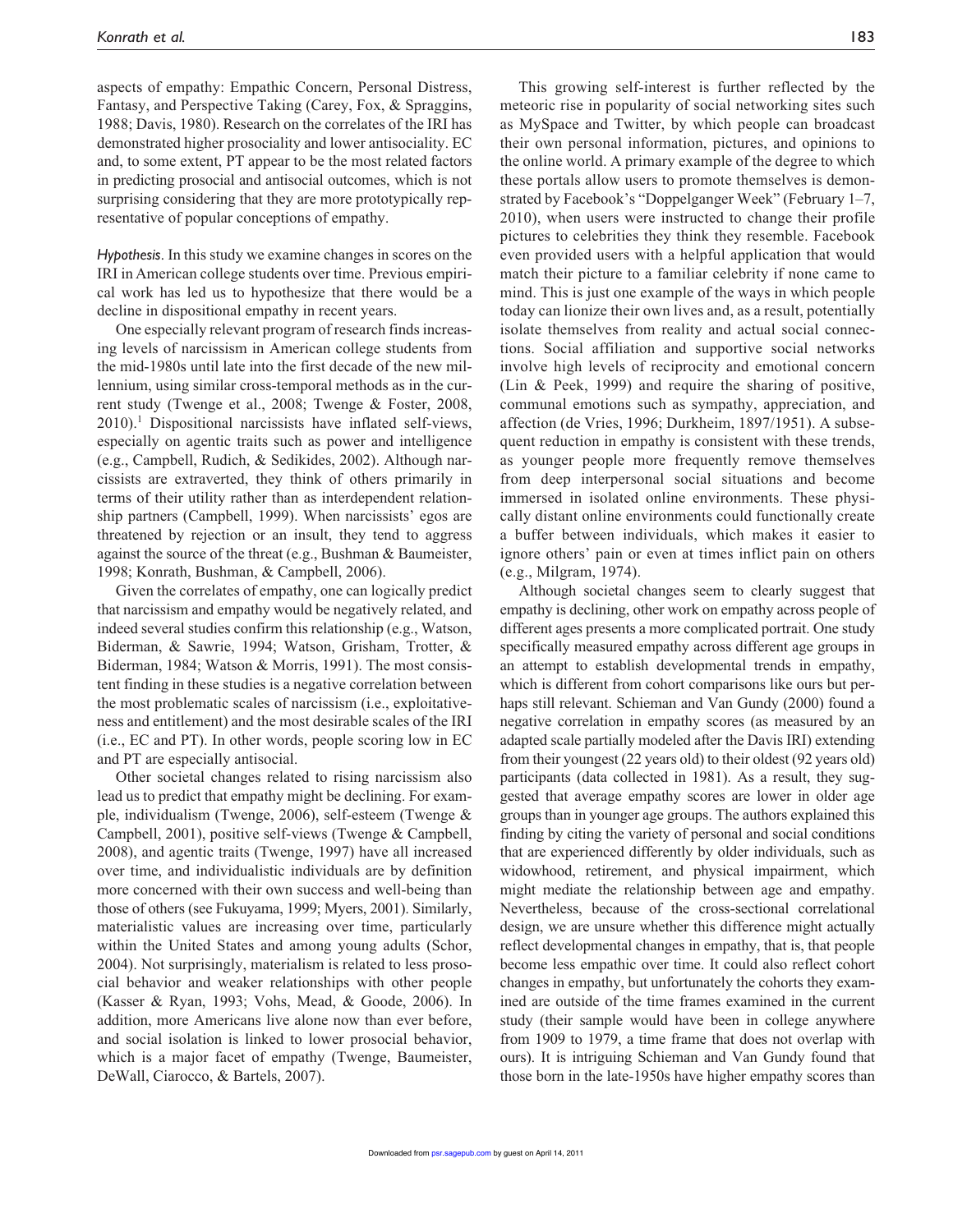aspects of empathy: Empathic Concern, Personal Distress, Fantasy, and Perspective Taking (Carey, Fox, & Spraggins, 1988; Davis, 1980). Research on the correlates of the IRI has demonstrated higher prosociality and lower antisociality. EC and, to some extent, PT appear to be the most related factors in predicting prosocial and antisocial outcomes, which is not surprising considering that they are more prototypically representative of popular conceptions of empathy.

*Hypothesis*. In this study we examine changes in scores on the IRI in American college students over time. Previous empirical work has led us to hypothesize that there would be a decline in dispositional empathy in recent years.

One especially relevant program of research finds increasing levels of narcissism in American college students from the mid-1980s until late into the first decade of the new millennium, using similar cross-temporal methods as in the current study (Twenge et al., 2008; Twenge & Foster, 2008,  $2010$ .<sup>1</sup> Dispositional narcissists have inflated self-views, especially on agentic traits such as power and intelligence (e.g., Campbell, Rudich, & Sedikides, 2002). Although narcissists are extraverted, they think of others primarily in terms of their utility rather than as interdependent relationship partners (Campbell, 1999). When narcissists' egos are threatened by rejection or an insult, they tend to aggress against the source of the threat (e.g., Bushman & Baumeister, 1998; Konrath, Bushman, & Campbell, 2006).

Given the correlates of empathy, one can logically predict that narcissism and empathy would be negatively related, and indeed several studies confirm this relationship (e.g., Watson, Biderman, & Sawrie, 1994; Watson, Grisham, Trotter, & Biderman, 1984; Watson & Morris, 1991). The most consistent finding in these studies is a negative correlation between the most problematic scales of narcissism (i.e., exploitativeness and entitlement) and the most desirable scales of the IRI (i.e., EC and PT). In other words, people scoring low in EC and PT are especially antisocial.

Other societal changes related to rising narcissism also lead us to predict that empathy might be declining. For example, individualism (Twenge, 2006), self-esteem (Twenge & Campbell, 2001), positive self-views (Twenge & Campbell, 2008), and agentic traits (Twenge, 1997) have all increased over time, and individualistic individuals are by definition more concerned with their own success and well-being than those of others (see Fukuyama, 1999; Myers, 2001). Similarly, materialistic values are increasing over time, particularly within the United States and among young adults (Schor, 2004). Not surprisingly, materialism is related to less prosocial behavior and weaker relationships with other people (Kasser & Ryan, 1993; Vohs, Mead, & Goode, 2006). In addition, more Americans live alone now than ever before, and social isolation is linked to lower prosocial behavior, which is a major facet of empathy (Twenge, Baumeister, DeWall, Ciarocco, & Bartels, 2007).

This growing self-interest is further reflected by the meteoric rise in popularity of social networking sites such as MySpace and Twitter, by which people can broadcast their own personal information, pictures, and opinions to the online world. A primary example of the degree to which these portals allow users to promote themselves is demonstrated by Facebook's "Doppelganger Week" (February 1–7, 2010), when users were instructed to change their profile pictures to celebrities they think they resemble. Facebook even provided users with a helpful application that would match their picture to a familiar celebrity if none came to mind. This is just one example of the ways in which people today can lionize their own lives and, as a result, potentially isolate themselves from reality and actual social connections. Social affiliation and supportive social networks involve high levels of reciprocity and emotional concern (Lin & Peek, 1999) and require the sharing of positive, communal emotions such as sympathy, appreciation, and affection (de Vries, 1996; Durkheim, 1897/1951). A subsequent reduction in empathy is consistent with these trends, as younger people more frequently remove themselves from deep interpersonal social situations and become immersed in isolated online environments. These physically distant online environments could functionally create a buffer between individuals, which makes it easier to ignore others' pain or even at times inflict pain on others (e.g., Milgram, 1974).

Although societal changes seem to clearly suggest that empathy is declining, other work on empathy across people of different ages presents a more complicated portrait. One study specifically measured empathy across different age groups in an attempt to establish developmental trends in empathy, which is different from cohort comparisons like ours but perhaps still relevant. Schieman and Van Gundy (2000) found a negative correlation in empathy scores (as measured by an adapted scale partially modeled after the Davis IRI) extending from their youngest (22 years old) to their oldest (92 years old) participants (data collected in 1981). As a result, they suggested that average empathy scores are lower in older age groups than in younger age groups. The authors explained this finding by citing the variety of personal and social conditions that are experienced differently by older individuals, such as widowhood, retirement, and physical impairment, which might mediate the relationship between age and empathy. Nevertheless, because of the cross-sectional correlational design, we are unsure whether this difference might actually reflect developmental changes in empathy, that is, that people become less empathic over time. It could also reflect cohort changes in empathy, but unfortunately the cohorts they examined are outside of the time frames examined in the current study (their sample would have been in college anywhere from 1909 to 1979, a time frame that does not overlap with ours). It is intriguing Schieman and Van Gundy found that those born in the late-1950s have higher empathy scores than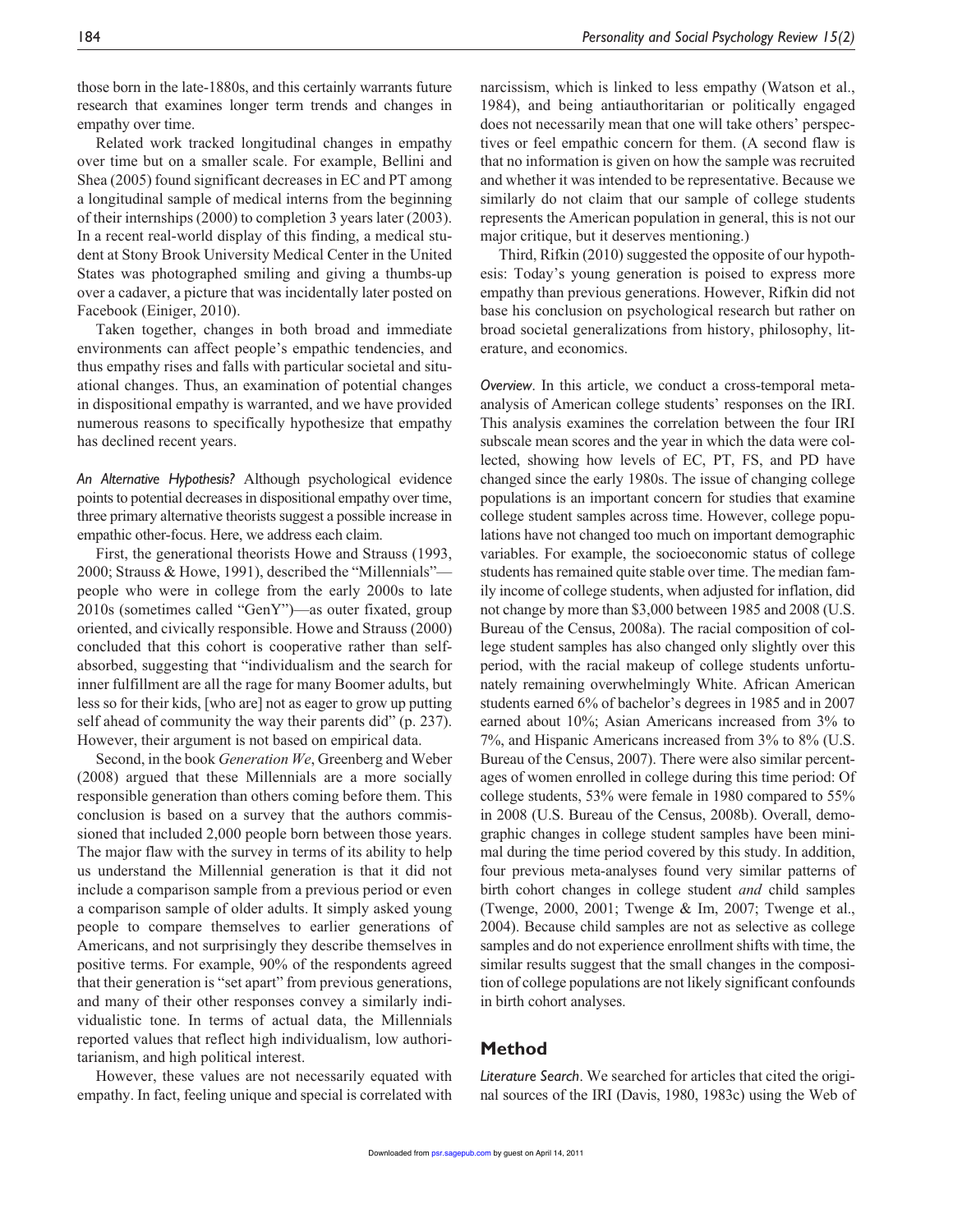those born in the late-1880s, and this certainly warrants future research that examines longer term trends and changes in empathy over time.

Related work tracked longitudinal changes in empathy over time but on a smaller scale. For example, Bellini and Shea (2005) found significant decreases in EC and PT among a longitudinal sample of medical interns from the beginning of their internships (2000) to completion 3 years later (2003). In a recent real-world display of this finding, a medical student at Stony Brook University Medical Center in the United States was photographed smiling and giving a thumbs-up over a cadaver, a picture that was incidentally later posted on Facebook (Einiger, 2010).

Taken together, changes in both broad and immediate environments can affect people's empathic tendencies, and thus empathy rises and falls with particular societal and situational changes. Thus, an examination of potential changes in dispositional empathy is warranted, and we have provided numerous reasons to specifically hypothesize that empathy has declined recent years.

*An Alternative Hypothesis?* Although psychological evidence points to potential decreases in dispositional empathy over time, three primary alternative theorists suggest a possible increase in empathic other-focus. Here, we address each claim.

First, the generational theorists Howe and Strauss (1993, 2000; Strauss & Howe, 1991), described the "Millennials" people who were in college from the early 2000s to late 2010s (sometimes called "GenY")—as outer fixated, group oriented, and civically responsible. Howe and Strauss (2000) concluded that this cohort is cooperative rather than selfabsorbed, suggesting that "individualism and the search for inner fulfillment are all the rage for many Boomer adults, but less so for their kids, [who are] not as eager to grow up putting self ahead of community the way their parents did" (p. 237). However, their argument is not based on empirical data.

Second, in the book *Generation We*, Greenberg and Weber (2008) argued that these Millennials are a more socially responsible generation than others coming before them. This conclusion is based on a survey that the authors commissioned that included 2,000 people born between those years. The major flaw with the survey in terms of its ability to help us understand the Millennial generation is that it did not include a comparison sample from a previous period or even a comparison sample of older adults. It simply asked young people to compare themselves to earlier generations of Americans, and not surprisingly they describe themselves in positive terms. For example, 90% of the respondents agreed that their generation is "set apart" from previous generations, and many of their other responses convey a similarly individualistic tone. In terms of actual data, the Millennials reported values that reflect high individualism, low authoritarianism, and high political interest.

However, these values are not necessarily equated with empathy. In fact, feeling unique and special is correlated with narcissism, which is linked to less empathy (Watson et al., 1984), and being antiauthoritarian or politically engaged does not necessarily mean that one will take others' perspectives or feel empathic concern for them. (A second flaw is that no information is given on how the sample was recruited and whether it was intended to be representative. Because we similarly do not claim that our sample of college students represents the American population in general, this is not our major critique, but it deserves mentioning.)

Third, Rifkin (2010) suggested the opposite of our hypothesis: Today's young generation is poised to express more empathy than previous generations. However, Rifkin did not base his conclusion on psychological research but rather on broad societal generalizations from history, philosophy, literature, and economics.

*Overview*. In this article, we conduct a cross-temporal metaanalysis of American college students' responses on the IRI. This analysis examines the correlation between the four IRI subscale mean scores and the year in which the data were collected, showing how levels of EC, PT, FS, and PD have changed since the early 1980s. The issue of changing college populations is an important concern for studies that examine college student samples across time. However, college populations have not changed too much on important demographic variables. For example, the socioeconomic status of college students has remained quite stable over time. The median family income of college students, when adjusted for inflation, did not change by more than \$3,000 between 1985 and 2008 (U.S. Bureau of the Census, 2008a). The racial composition of college student samples has also changed only slightly over this period, with the racial makeup of college students unfortunately remaining overwhelmingly White. African American students earned 6% of bachelor's degrees in 1985 and in 2007 earned about 10%; Asian Americans increased from 3% to 7%, and Hispanic Americans increased from 3% to 8% (U.S. Bureau of the Census, 2007). There were also similar percentages of women enrolled in college during this time period: Of college students, 53% were female in 1980 compared to 55% in 2008 (U.S. Bureau of the Census, 2008b). Overall, demographic changes in college student samples have been minimal during the time period covered by this study. In addition, four previous meta-analyses found very similar patterns of birth cohort changes in college student *and* child samples (Twenge, 2000, 2001; Twenge & Im, 2007; Twenge et al., 2004). Because child samples are not as selective as college samples and do not experience enrollment shifts with time, the similar results suggest that the small changes in the composition of college populations are not likely significant confounds in birth cohort analyses.

## **Method**

*Literature Search*. We searched for articles that cited the original sources of the IRI (Davis, 1980, 1983c) using the Web of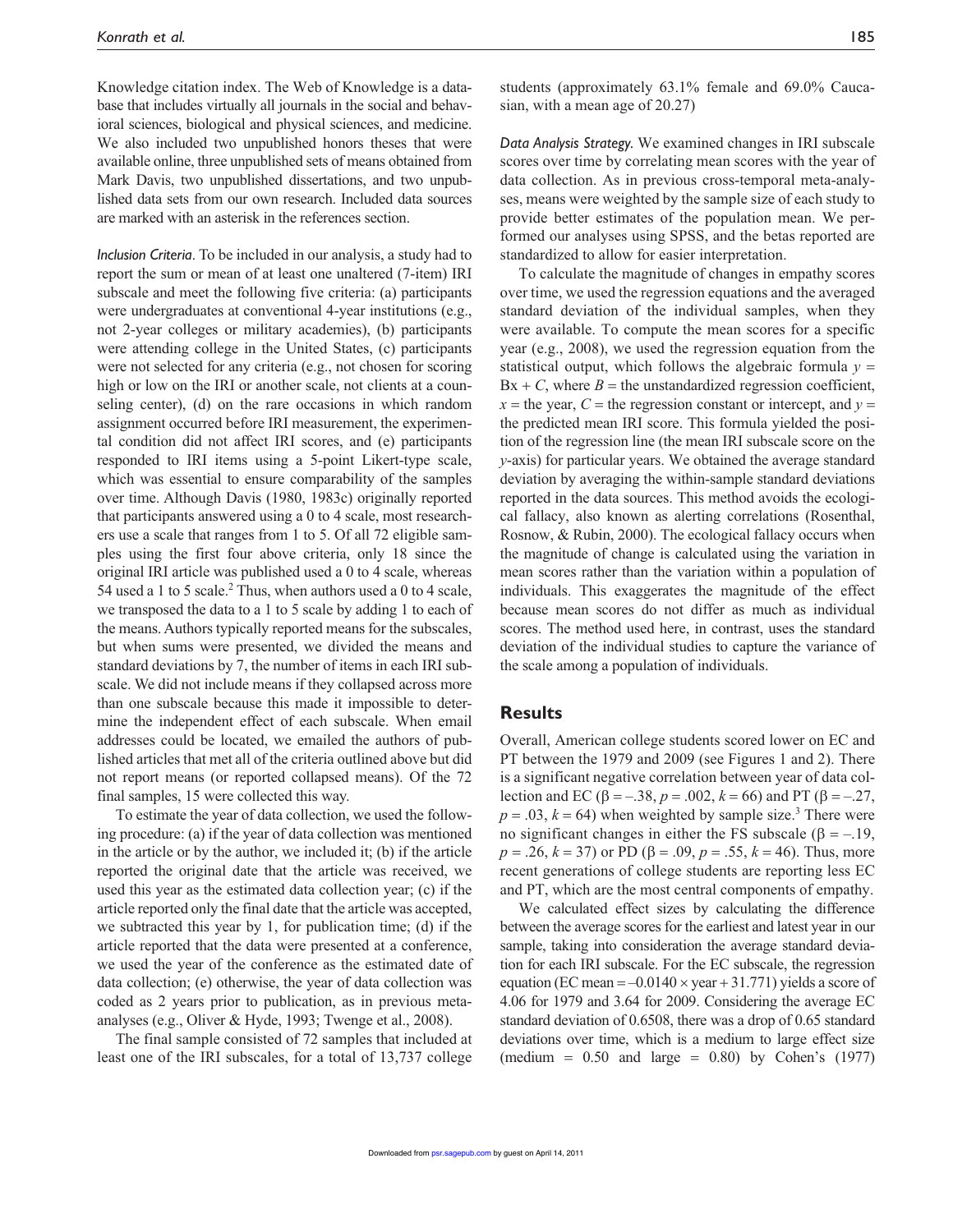Knowledge citation index. The Web of Knowledge is a database that includes virtually all journals in the social and behavioral sciences, biological and physical sciences, and medicine. We also included two unpublished honors theses that were available online, three unpublished sets of means obtained from Mark Davis, two unpublished dissertations, and two unpublished data sets from our own research. Included data sources are marked with an asterisk in the references section.

*Inclusion Criteria*. To be included in our analysis, a study had to report the sum or mean of at least one unaltered (7-item) IRI subscale and meet the following five criteria: (a) participants were undergraduates at conventional 4-year institutions (e.g., not 2-year colleges or military academies), (b) participants were attending college in the United States, (c) participants were not selected for any criteria (e.g., not chosen for scoring high or low on the IRI or another scale, not clients at a counseling center), (d) on the rare occasions in which random assignment occurred before IRI measurement, the experimental condition did not affect IRI scores, and (e) participants responded to IRI items using a 5-point Likert-type scale, which was essential to ensure comparability of the samples over time. Although Davis (1980, 1983c) originally reported that participants answered using a 0 to 4 scale, most researchers use a scale that ranges from 1 to 5. Of all 72 eligible samples using the first four above criteria, only 18 since the original IRI article was published used a 0 to 4 scale, whereas 54 used a 1 to 5 scale.<sup>2</sup> Thus, when authors used a 0 to 4 scale, we transposed the data to a 1 to 5 scale by adding 1 to each of the means. Authors typically reported means for the subscales, but when sums were presented, we divided the means and standard deviations by 7, the number of items in each IRI subscale. We did not include means if they collapsed across more than one subscale because this made it impossible to determine the independent effect of each subscale. When email addresses could be located, we emailed the authors of published articles that met all of the criteria outlined above but did not report means (or reported collapsed means). Of the 72 final samples, 15 were collected this way.

To estimate the year of data collection, we used the following procedure: (a) if the year of data collection was mentioned in the article or by the author, we included it; (b) if the article reported the original date that the article was received, we used this year as the estimated data collection year; (c) if the article reported only the final date that the article was accepted, we subtracted this year by 1, for publication time; (d) if the article reported that the data were presented at a conference, we used the year of the conference as the estimated date of data collection; (e) otherwise, the year of data collection was coded as 2 years prior to publication, as in previous metaanalyses (e.g., Oliver & Hyde, 1993; Twenge et al., 2008).

The final sample consisted of 72 samples that included at least one of the IRI subscales, for a total of 13,737 college students (approximately 63.1% female and 69.0% Caucasian, with a mean age of 20.27)

*Data Analysis Strategy.* We examined changes in IRI subscale scores over time by correlating mean scores with the year of data collection. As in previous cross-temporal meta-analyses, means were weighted by the sample size of each study to provide better estimates of the population mean. We performed our analyses using SPSS, and the betas reported are standardized to allow for easier interpretation.

To calculate the magnitude of changes in empathy scores over time, we used the regression equations and the averaged standard deviation of the individual samples, when they were available. To compute the mean scores for a specific year (e.g., 2008), we used the regression equation from the statistical output, which follows the algebraic formula  $y =$  $Bx + C$ , where  $B =$  the unstandardized regression coefficient,  $x =$  the year, *C* = the regression constant or intercept, and *y* = the predicted mean IRI score. This formula yielded the position of the regression line (the mean IRI subscale score on the *y*-axis) for particular years. We obtained the average standard deviation by averaging the within-sample standard deviations reported in the data sources. This method avoids the ecological fallacy, also known as alerting correlations (Rosenthal, Rosnow, & Rubin, 2000). The ecological fallacy occurs when the magnitude of change is calculated using the variation in mean scores rather than the variation within a population of individuals. This exaggerates the magnitude of the effect because mean scores do not differ as much as individual scores. The method used here, in contrast, uses the standard deviation of the individual studies to capture the variance of the scale among a population of individuals.

## **Results**

Overall, American college students scored lower on EC and PT between the 1979 and 2009 (see Figures 1 and 2). There is a significant negative correlation between year of data collection and EC ( $\beta = -.38$ ,  $p = .002$ ,  $k = 66$ ) and PT ( $\beta = -.27$ ,  $p = 0.03$ ,  $k = 64$ ) when weighted by sample size.<sup>3</sup> There were no significant changes in either the FS subscale ( $\beta = -19$ ,  $p = .26$ ,  $k = 37$ ) or PD ( $\beta = .09$ ,  $p = .55$ ,  $k = 46$ ). Thus, more recent generations of college students are reporting less EC and PT, which are the most central components of empathy.

We calculated effect sizes by calculating the difference between the average scores for the earliest and latest year in our sample, taking into consideration the average standard deviation for each IRI subscale. For the EC subscale, the regression equation (EC mean  $=$  -0.0140  $\times$  year + 31.771) yields a score of 4.06 for 1979 and 3.64 for 2009. Considering the average EC standard deviation of 0.6508, there was a drop of 0.65 standard deviations over time, which is a medium to large effect size (medium  $= 0.50$  and large  $= 0.80$ ) by Cohen's (1977)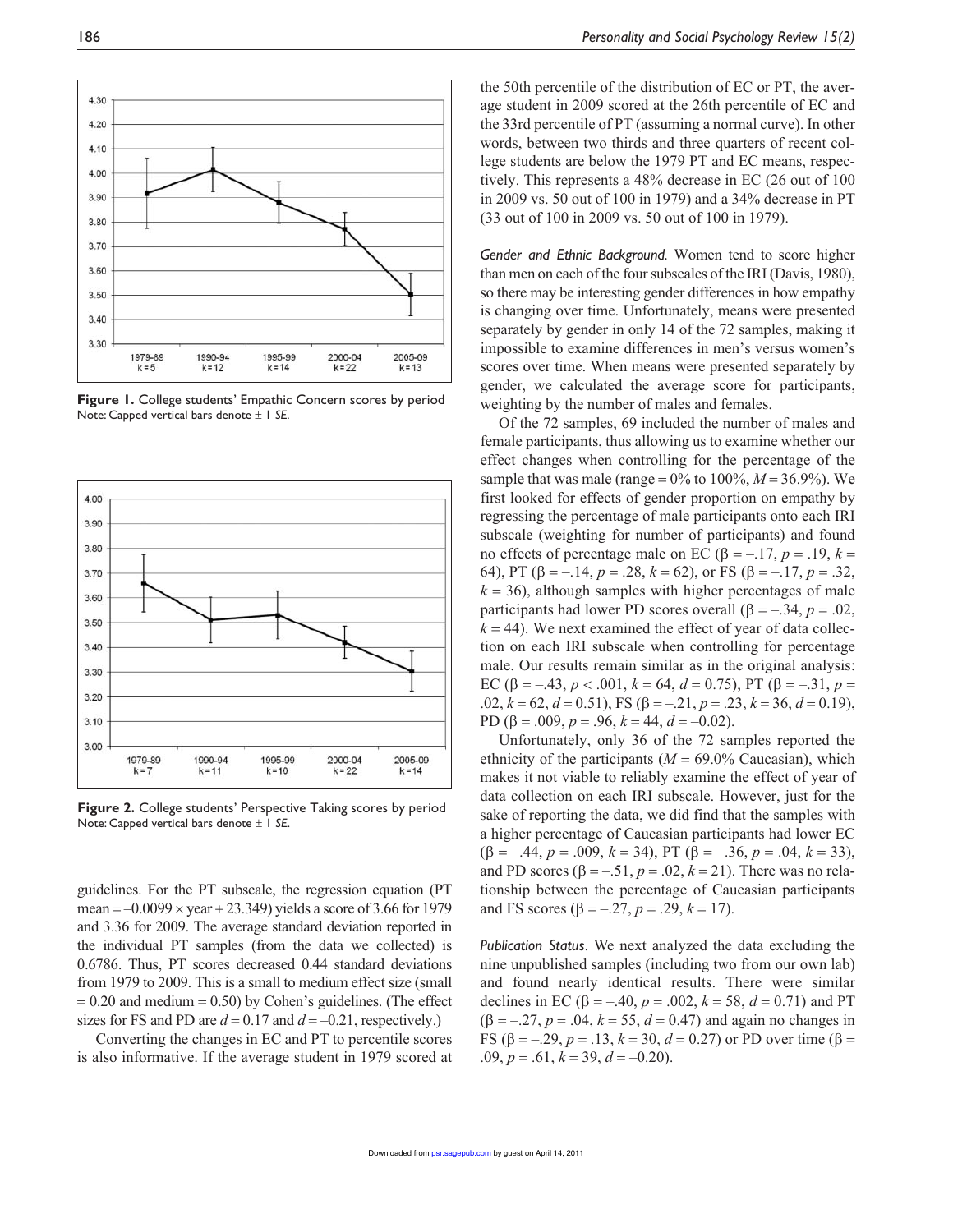

**Figure 1.** College students' Empathic Concern scores by period Note: Capped vertical bars denote 1 *SE*.



**Figure 2.** College students' Perspective Taking scores by period Note: Capped vertical bars denote  $\pm$  1 *SE*.

guidelines. For the PT subscale, the regression equation (PT mean =  $-0.0099 \times$  year + 23.349) yields a score of 3.66 for 1979 and 3.36 for 2009. The average standard deviation reported in the individual PT samples (from the data we collected) is 0.6786. Thus, PT scores decreased 0.44 standard deviations from 1979 to 2009. This is a small to medium effect size (small  $= 0.20$  and medium  $= 0.50$ ) by Cohen's guidelines. (The effect sizes for FS and PD are  $d = 0.17$  and  $d = -0.21$ , respectively.)

Converting the changes in EC and PT to percentile scores is also informative. If the average student in 1979 scored at the 50th percentile of the distribution of EC or PT, the average student in 2009 scored at the 26th percentile of EC and the 33rd percentile of PT (assuming a normal curve). In other words, between two thirds and three quarters of recent college students are below the 1979 PT and EC means, respectively. This represents a 48% decrease in EC (26 out of 100 in 2009 vs. 50 out of 100 in 1979) and a 34% decrease in PT (33 out of 100 in 2009 vs. 50 out of 100 in 1979).

*Gender and Ethnic Background.* Women tend to score higher than men on each of the four subscales of the IRI (Davis, 1980), so there may be interesting gender differences in how empathy is changing over time. Unfortunately, means were presented separately by gender in only 14 of the 72 samples, making it impossible to examine differences in men's versus women's scores over time. When means were presented separately by gender, we calculated the average score for participants, weighting by the number of males and females.

Of the 72 samples, 69 included the number of males and female participants, thus allowing us to examine whether our effect changes when controlling for the percentage of the sample that was male (range =  $0\%$  to  $100\%, M = 36.9\%$ ). We first looked for effects of gender proportion on empathy by regressing the percentage of male participants onto each IRI subscale (weighting for number of participants) and found no effects of percentage male on EC ( $\beta = -.17$ ,  $p = .19$ ,  $k =$ 64), PT ( $\beta = -.14$ ,  $p = .28$ ,  $k = 62$ ), or FS ( $\beta = -.17$ ,  $p = .32$ ,  $k = 36$ ), although samples with higher percentages of male participants had lower PD scores overall  $(\beta = -.34, p = .02, ...)$  $k = 44$ ). We next examined the effect of year of data collection on each IRI subscale when controlling for percentage male. Our results remain similar as in the original analysis: EC ( $\beta$  = -.43,  $p < .001$ ,  $k = 64$ ,  $d = 0.75$ ), PT ( $\beta$  = -.31,  $p =$ .02,  $k = 62$ ,  $d = 0.51$ ), FS ( $\beta = -.21$ ,  $p = .23$ ,  $k = 36$ ,  $d = 0.19$ ), PD ( $\beta$  = .009,  $p = .96$ ,  $k = 44$ ,  $d = -0.02$ ).

Unfortunately, only 36 of the 72 samples reported the ethnicity of the participants  $(M = 69.0\%$  Caucasian), which makes it not viable to reliably examine the effect of year of data collection on each IRI subscale. However, just for the sake of reporting the data, we did find that the samples with a higher percentage of Caucasian participants had lower EC  $(\beta = -.44, p = .009, k = 34), PT (\beta = -.36, p = .04, k = 33),$ and PD scores  $(\beta = -.51, p = .02, k = 21)$ . There was no relationship between the percentage of Caucasian participants and FS scores  $(\beta = -.27, p = .29, k = 17)$ .

*Publication Status*. We next analyzed the data excluding the nine unpublished samples (including two from our own lab) and found nearly identical results. There were similar declines in EC ( $\beta$  = -.40,  $p$  = .002,  $k$  = 58,  $d$  = 0.71) and PT  $(\beta = -.27, p = .04, k = 55, d = 0.47)$  and again no changes in FS ( $\beta = -.29$ ,  $p = .13$ ,  $k = 30$ ,  $d = 0.27$ ) or PD over time ( $\beta =$  $.09, p = .61, k = 39, d = -0.20$ .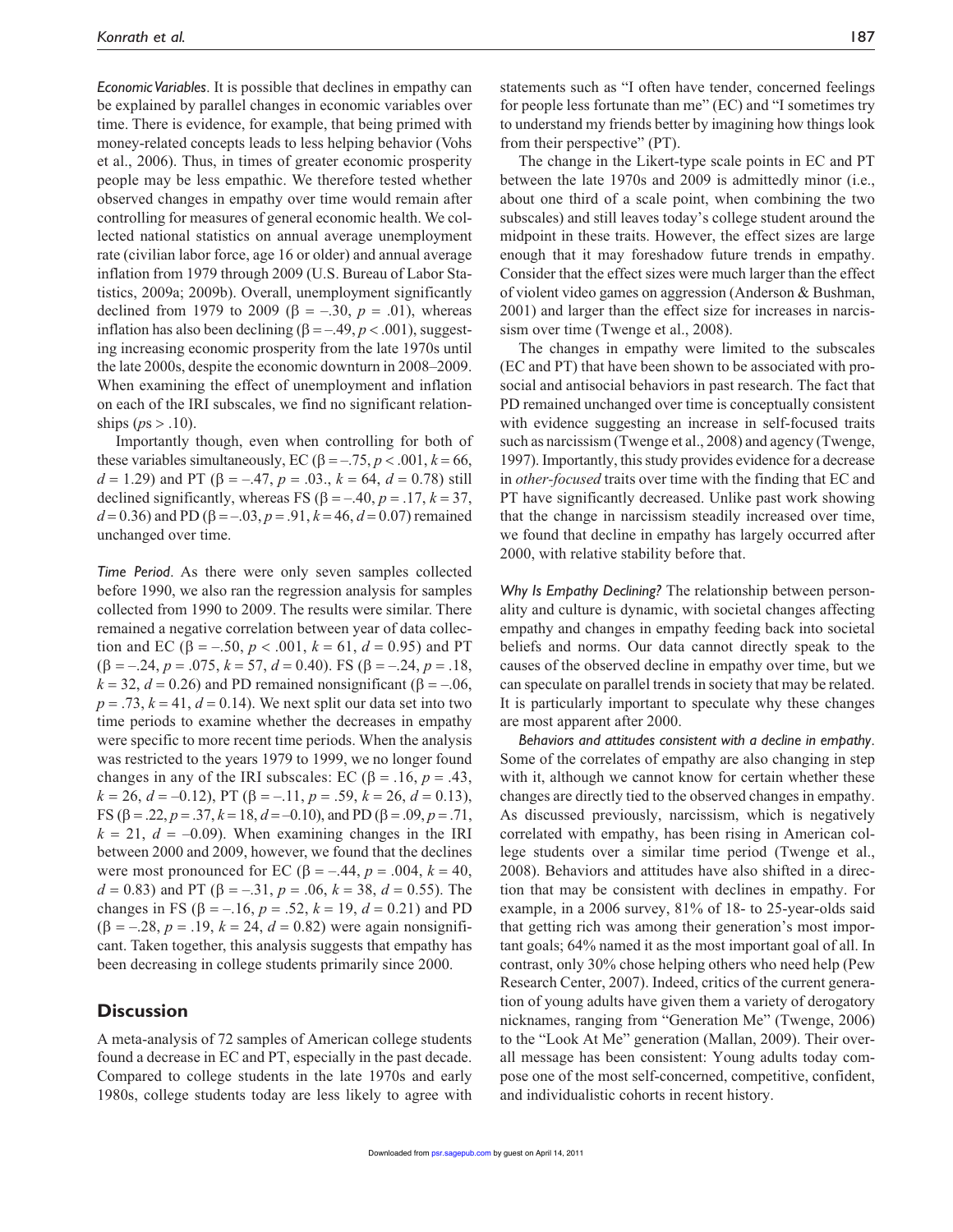*Economic Variables*. It is possible that declines in empathy can be explained by parallel changes in economic variables over time. There is evidence, for example, that being primed with money-related concepts leads to less helping behavior (Vohs et al., 2006). Thus, in times of greater economic prosperity people may be less empathic. We therefore tested whether observed changes in empathy over time would remain after controlling for measures of general economic health. We collected national statistics on annual average unemployment rate (civilian labor force, age 16 or older) and annual average inflation from 1979 through 2009 (U.S. Bureau of Labor Statistics, 2009a; 2009b). Overall, unemployment significantly declined from 1979 to 2009 ( $\beta = -.30, p = .01$ ), whereas inflation has also been declining ( $\beta = -0.49$ ,  $p < 0.001$ ), suggesting increasing economic prosperity from the late 1970s until the late 2000s, despite the economic downturn in 2008–2009. When examining the effect of unemployment and inflation on each of the IRI subscales, we find no significant relationships ( $ps$   $>$  .10).

Importantly though, even when controlling for both of these variables simultaneously, EC ( $\beta = -0.75$ ,  $p < 0.001$ ,  $k = 66$ ,  $d = 1.29$ ) and PT ( $\beta = -.47$ ,  $p = .03$ .,  $k = 64$ ,  $d = 0.78$ ) still declined significantly, whereas FS ( $\beta = -.40$ ,  $p = .17$ ,  $k = 37$ ,  $d = 0.36$  and PD ( $\beta = -.03$ ,  $p = .91$ ,  $k = 46$ ,  $d = 0.07$ ) remained unchanged over time.

*Time Period*. As there were only seven samples collected before 1990, we also ran the regression analysis for samples collected from 1990 to 2009. The results were similar. There remained a negative correlation between year of data collection and EC ( $\beta = -.50, p < .001, k = 61, d = 0.95$ ) and PT  $(\beta = -.24, p = .075, k = 57, d = 0.40)$ . FS  $(\beta = -.24, p = .18,$  $k = 32$ ,  $d = 0.26$ ) and PD remained nonsignificant ( $\beta = -0.06$ ,  $p = .73$ ,  $k = 41$ ,  $d = 0.14$ ). We next split our data set into two time periods to examine whether the decreases in empathy were specific to more recent time periods. When the analysis was restricted to the years 1979 to 1999, we no longer found changes in any of the IRI subscales: EC ( $\beta$  = .16,  $p = .43$ ,  $k = 26$ ,  $d = -0.12$ ), PT ( $\beta = -11$ ,  $p = .59$ ,  $k = 26$ ,  $d = 0.13$ ), FS ( $\beta$  = .22,  $p = .37$ ,  $k = 18$ ,  $d = -0.10$ ), and PD ( $\beta$  = .09,  $p = .71$ ,  $k = 21$ ,  $d = -0.09$ ). When examining changes in the IRI between 2000 and 2009, however, we found that the declines were most pronounced for EC ( $\beta = -.44, p = .004, k = 40,$  $d = 0.83$ ) and PT ( $\beta = -.31$ ,  $p = .06$ ,  $k = 38$ ,  $d = 0.55$ ). The changes in FS ( $\beta$  = -.16,  $p = .52$ ,  $k = 19$ ,  $d = 0.21$ ) and PD  $(\beta = -.28, p = .19, k = 24, d = 0.82)$  were again nonsignificant. Taken together, this analysis suggests that empathy has been decreasing in college students primarily since 2000.

## **Discussion**

A meta-analysis of 72 samples of American college students found a decrease in EC and PT, especially in the past decade. Compared to college students in the late 1970s and early 1980s, college students today are less likely to agree with statements such as "I often have tender, concerned feelings for people less fortunate than me" (EC) and "I sometimes try to understand my friends better by imagining how things look from their perspective" (PT).

The change in the Likert-type scale points in EC and PT between the late 1970s and 2009 is admittedly minor (i.e., about one third of a scale point, when combining the two subscales) and still leaves today's college student around the midpoint in these traits. However, the effect sizes are large enough that it may foreshadow future trends in empathy. Consider that the effect sizes were much larger than the effect of violent video games on aggression (Anderson & Bushman, 2001) and larger than the effect size for increases in narcissism over time (Twenge et al., 2008).

The changes in empathy were limited to the subscales (EC and PT) that have been shown to be associated with prosocial and antisocial behaviors in past research. The fact that PD remained unchanged over time is conceptually consistent with evidence suggesting an increase in self-focused traits such as narcissism (Twenge et al., 2008) and agency (Twenge, 1997). Importantly, this study provides evidence for a decrease in *other-focused* traits over time with the finding that EC and PT have significantly decreased. Unlike past work showing that the change in narcissism steadily increased over time, we found that decline in empathy has largely occurred after 2000, with relative stability before that.

*Why Is Empathy Declining?* The relationship between personality and culture is dynamic, with societal changes affecting empathy and changes in empathy feeding back into societal beliefs and norms. Our data cannot directly speak to the causes of the observed decline in empathy over time, but we can speculate on parallel trends in society that may be related. It is particularly important to speculate why these changes are most apparent after 2000.

*Behaviors and attitudes consistent with a decline in empathy*. Some of the correlates of empathy are also changing in step with it, although we cannot know for certain whether these changes are directly tied to the observed changes in empathy. As discussed previously, narcissism, which is negatively correlated with empathy, has been rising in American college students over a similar time period (Twenge et al., 2008). Behaviors and attitudes have also shifted in a direction that may be consistent with declines in empathy. For example, in a 2006 survey, 81% of 18- to 25-year-olds said that getting rich was among their generation's most important goals; 64% named it as the most important goal of all. In contrast, only 30% chose helping others who need help (Pew Research Center, 2007). Indeed, critics of the current generation of young adults have given them a variety of derogatory nicknames, ranging from "Generation Me" (Twenge, 2006) to the "Look At Me" generation (Mallan, 2009). Their overall message has been consistent: Young adults today compose one of the most self-concerned, competitive, confident, and individualistic cohorts in recent history.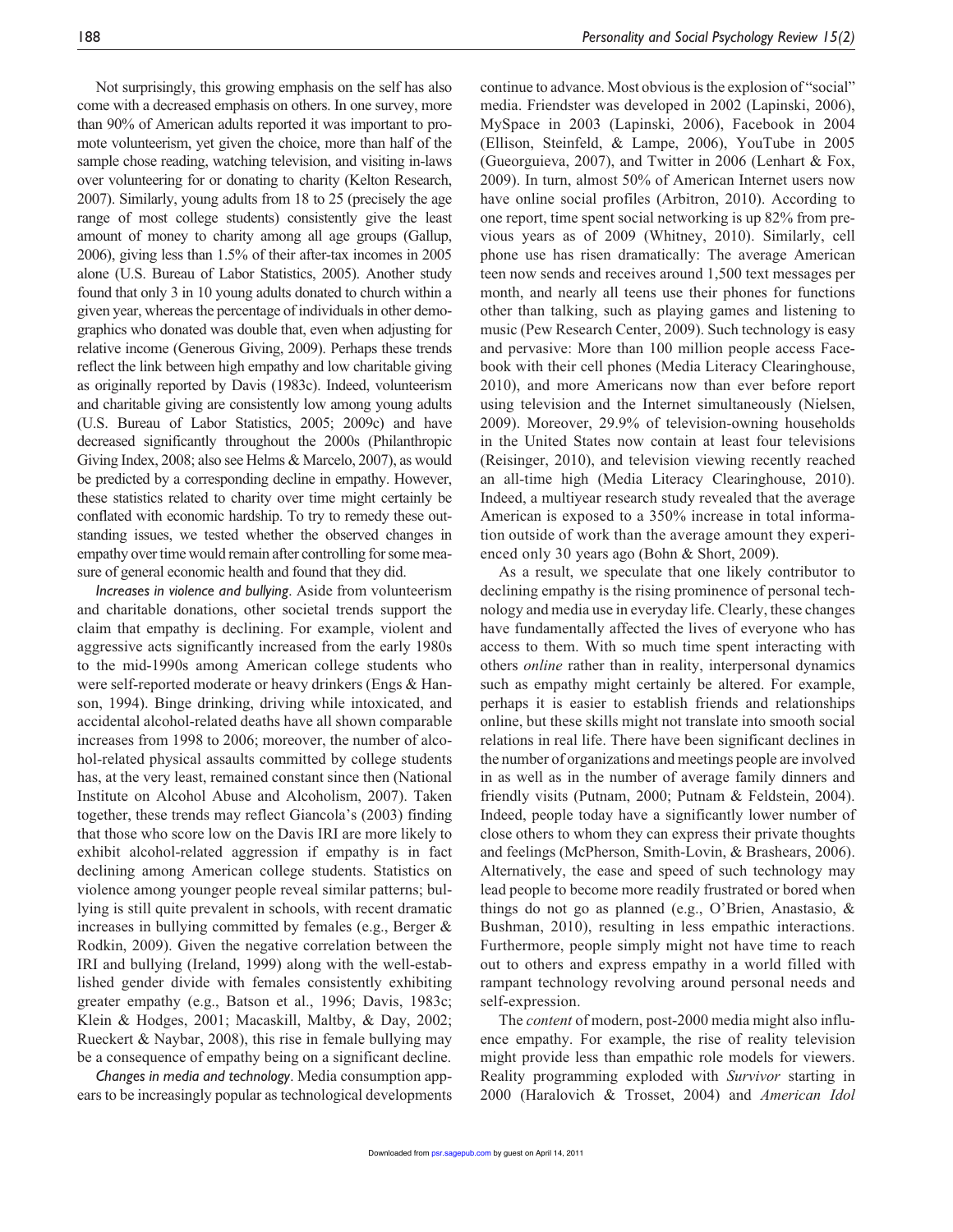Not surprisingly, this growing emphasis on the self has also come with a decreased emphasis on others. In one survey, more than 90% of American adults reported it was important to promote volunteerism, yet given the choice, more than half of the sample chose reading, watching television, and visiting in-laws over volunteering for or donating to charity (Kelton Research, 2007). Similarly, young adults from 18 to 25 (precisely the age range of most college students) consistently give the least amount of money to charity among all age groups (Gallup, 2006), giving less than 1.5% of their after-tax incomes in 2005 alone (U.S. Bureau of Labor Statistics, 2005). Another study found that only 3 in 10 young adults donated to church within a given year, whereas the percentage of individuals in other demographics who donated was double that, even when adjusting for relative income (Generous Giving, 2009). Perhaps these trends reflect the link between high empathy and low charitable giving as originally reported by Davis (1983c). Indeed, volunteerism and charitable giving are consistently low among young adults (U.S. Bureau of Labor Statistics, 2005; 2009c) and have decreased significantly throughout the 2000s (Philanthropic Giving Index, 2008; also see Helms & Marcelo, 2007), as would be predicted by a corresponding decline in empathy. However, these statistics related to charity over time might certainly be conflated with economic hardship. To try to remedy these outstanding issues, we tested whether the observed changes in empathy over time would remain after controlling for some measure of general economic health and found that they did.

*Increases in violence and bullying*. Aside from volunteerism and charitable donations, other societal trends support the claim that empathy is declining. For example, violent and aggressive acts significantly increased from the early 1980s to the mid-1990s among American college students who were self-reported moderate or heavy drinkers (Engs & Hanson, 1994). Binge drinking, driving while intoxicated, and accidental alcohol-related deaths have all shown comparable increases from 1998 to 2006; moreover, the number of alcohol-related physical assaults committed by college students has, at the very least, remained constant since then (National Institute on Alcohol Abuse and Alcoholism, 2007). Taken together, these trends may reflect Giancola's (2003) finding that those who score low on the Davis IRI are more likely to exhibit alcohol-related aggression if empathy is in fact declining among American college students. Statistics on violence among younger people reveal similar patterns; bullying is still quite prevalent in schools, with recent dramatic increases in bullying committed by females (e.g., Berger & Rodkin, 2009). Given the negative correlation between the IRI and bullying (Ireland, 1999) along with the well-established gender divide with females consistently exhibiting greater empathy (e.g., Batson et al., 1996; Davis, 1983c; Klein & Hodges, 2001; Macaskill, Maltby, & Day, 2002; Rueckert & Naybar, 2008), this rise in female bullying may be a consequence of empathy being on a significant decline.

*Changes in media and technology*. Media consumption appears to be increasingly popular as technological developments continue to advance. Most obvious is the explosion of "social" media. Friendster was developed in 2002 (Lapinski, 2006), MySpace in 2003 (Lapinski, 2006), Facebook in 2004 (Ellison, Steinfeld, & Lampe, 2006), YouTube in 2005 (Gueorguieva, 2007), and Twitter in 2006 (Lenhart & Fox, 2009). In turn, almost 50% of American Internet users now have online social profiles (Arbitron, 2010). According to one report, time spent social networking is up 82% from previous years as of 2009 (Whitney, 2010). Similarly, cell phone use has risen dramatically: The average American teen now sends and receives around 1,500 text messages per month, and nearly all teens use their phones for functions other than talking, such as playing games and listening to music (Pew Research Center, 2009). Such technology is easy and pervasive: More than 100 million people access Facebook with their cell phones (Media Literacy Clearinghouse, 2010), and more Americans now than ever before report using television and the Internet simultaneously (Nielsen, 2009). Moreover, 29.9% of television-owning households in the United States now contain at least four televisions (Reisinger, 2010), and television viewing recently reached an all-time high (Media Literacy Clearinghouse, 2010). Indeed, a multiyear research study revealed that the average American is exposed to a 350% increase in total information outside of work than the average amount they experienced only 30 years ago (Bohn & Short, 2009).

As a result, we speculate that one likely contributor to declining empathy is the rising prominence of personal technology and media use in everyday life. Clearly, these changes have fundamentally affected the lives of everyone who has access to them. With so much time spent interacting with others *online* rather than in reality, interpersonal dynamics such as empathy might certainly be altered. For example, perhaps it is easier to establish friends and relationships online, but these skills might not translate into smooth social relations in real life. There have been significant declines in the number of organizations and meetings people are involved in as well as in the number of average family dinners and friendly visits (Putnam, 2000; Putnam & Feldstein, 2004). Indeed, people today have a significantly lower number of close others to whom they can express their private thoughts and feelings (McPherson, Smith-Lovin, & Brashears, 2006). Alternatively, the ease and speed of such technology may lead people to become more readily frustrated or bored when things do not go as planned (e.g., O'Brien, Anastasio, & Bushman, 2010), resulting in less empathic interactions. Furthermore, people simply might not have time to reach out to others and express empathy in a world filled with rampant technology revolving around personal needs and self-expression.

The *content* of modern, post-2000 media might also influence empathy. For example, the rise of reality television might provide less than empathic role models for viewers. Reality programming exploded with *Survivor* starting in 2000 (Haralovich & Trosset, 2004) and *American Idol*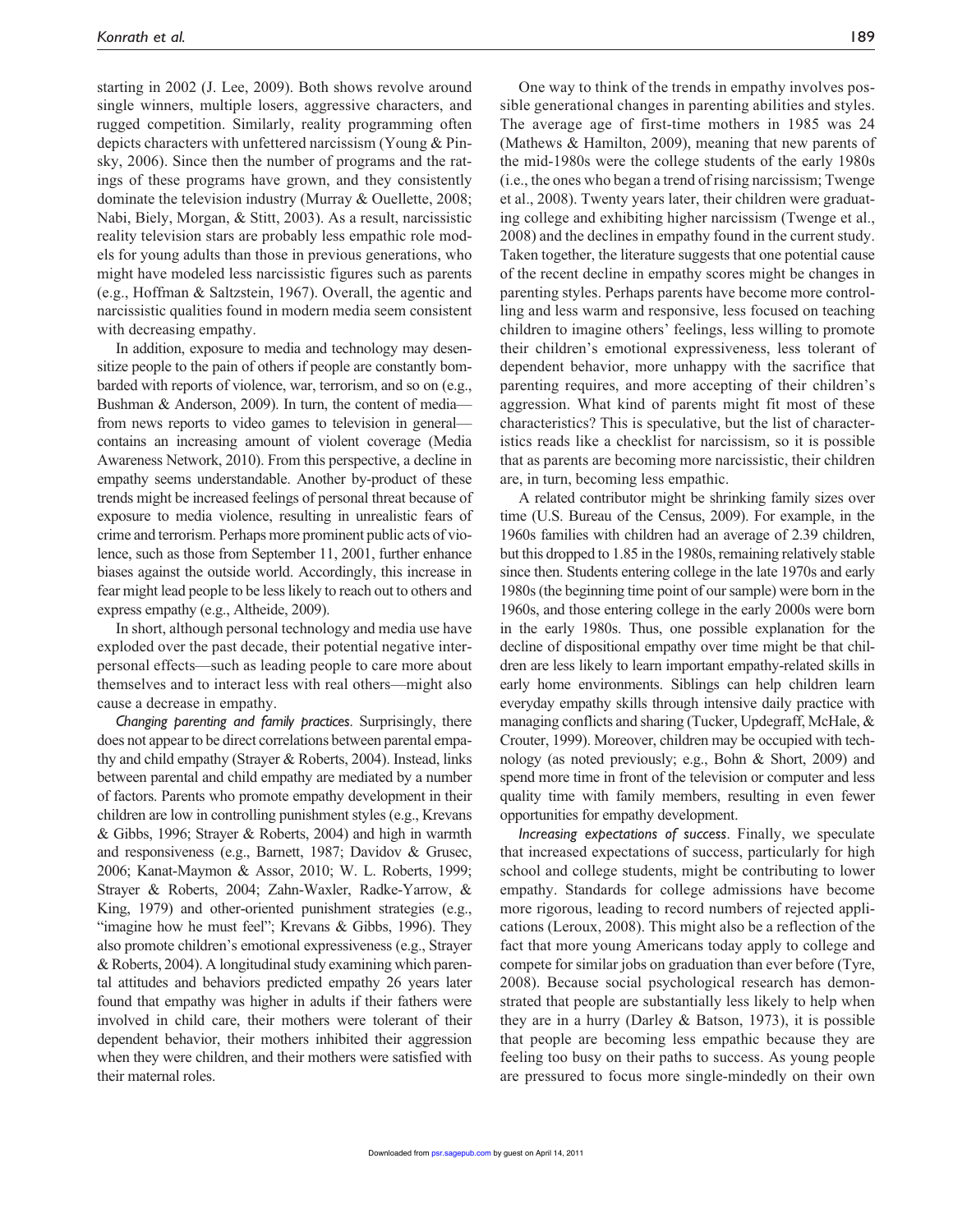starting in 2002 (J. Lee, 2009). Both shows revolve around single winners, multiple losers, aggressive characters, and rugged competition. Similarly, reality programming often depicts characters with unfettered narcissism (Young & Pinsky, 2006). Since then the number of programs and the ratings of these programs have grown, and they consistently dominate the television industry (Murray & Ouellette, 2008; Nabi, Biely, Morgan, & Stitt, 2003). As a result, narcissistic reality television stars are probably less empathic role models for young adults than those in previous generations, who might have modeled less narcissistic figures such as parents (e.g., Hoffman & Saltzstein, 1967). Overall, the agentic and narcissistic qualities found in modern media seem consistent with decreasing empathy.

In addition, exposure to media and technology may desensitize people to the pain of others if people are constantly bombarded with reports of violence, war, terrorism, and so on (e.g., Bushman & Anderson, 2009). In turn, the content of media from news reports to video games to television in general contains an increasing amount of violent coverage (Media Awareness Network, 2010). From this perspective, a decline in empathy seems understandable. Another by-product of these trends might be increased feelings of personal threat because of exposure to media violence, resulting in unrealistic fears of crime and terrorism. Perhaps more prominent public acts of violence, such as those from September 11, 2001, further enhance biases against the outside world. Accordingly, this increase in fear might lead people to be less likely to reach out to others and express empathy (e.g., Altheide, 2009).

In short, although personal technology and media use have exploded over the past decade, their potential negative interpersonal effects—such as leading people to care more about themselves and to interact less with real others—might also cause a decrease in empathy.

*Changing parenting and family practices*. Surprisingly, there does not appear to be direct correlations between parental empathy and child empathy (Strayer & Roberts, 2004). Instead, links between parental and child empathy are mediated by a number of factors. Parents who promote empathy development in their children are low in controlling punishment styles (e.g., Krevans & Gibbs, 1996; Strayer & Roberts, 2004) and high in warmth and responsiveness (e.g., Barnett, 1987; Davidov & Grusec, 2006; Kanat-Maymon & Assor, 2010; W. L. Roberts, 1999; Strayer & Roberts, 2004; Zahn-Waxler, Radke-Yarrow, & King, 1979) and other-oriented punishment strategies (e.g., "imagine how he must feel"; Krevans & Gibbs, 1996). They also promote children's emotional expressiveness (e.g., Strayer & Roberts, 2004). A longitudinal study examining which parental attitudes and behaviors predicted empathy 26 years later found that empathy was higher in adults if their fathers were involved in child care, their mothers were tolerant of their dependent behavior, their mothers inhibited their aggression when they were children, and their mothers were satisfied with their maternal roles.

One way to think of the trends in empathy involves possible generational changes in parenting abilities and styles. The average age of first-time mothers in 1985 was 24 (Mathews & Hamilton, 2009), meaning that new parents of the mid-1980s were the college students of the early 1980s (i.e., the ones who began a trend of rising narcissism; Twenge et al., 2008). Twenty years later, their children were graduating college and exhibiting higher narcissism (Twenge et al., 2008) and the declines in empathy found in the current study. Taken together, the literature suggests that one potential cause of the recent decline in empathy scores might be changes in parenting styles. Perhaps parents have become more controlling and less warm and responsive, less focused on teaching children to imagine others' feelings, less willing to promote their children's emotional expressiveness, less tolerant of dependent behavior, more unhappy with the sacrifice that parenting requires, and more accepting of their children's aggression. What kind of parents might fit most of these characteristics? This is speculative, but the list of characteristics reads like a checklist for narcissism, so it is possible that as parents are becoming more narcissistic, their children are, in turn, becoming less empathic.

A related contributor might be shrinking family sizes over time (U.S. Bureau of the Census, 2009). For example, in the 1960s families with children had an average of 2.39 children, but this dropped to 1.85 in the 1980s, remaining relatively stable since then. Students entering college in the late 1970s and early 1980s (the beginning time point of our sample) were born in the 1960s, and those entering college in the early 2000s were born in the early 1980s. Thus, one possible explanation for the decline of dispositional empathy over time might be that children are less likely to learn important empathy-related skills in early home environments. Siblings can help children learn everyday empathy skills through intensive daily practice with managing conflicts and sharing (Tucker, Updegraff, McHale, & Crouter, 1999). Moreover, children may be occupied with technology (as noted previously; e.g., Bohn & Short, 2009) and spend more time in front of the television or computer and less quality time with family members, resulting in even fewer opportunities for empathy development.

*Increasing expectations of success*. Finally, we speculate that increased expectations of success, particularly for high school and college students, might be contributing to lower empathy. Standards for college admissions have become more rigorous, leading to record numbers of rejected applications (Leroux, 2008). This might also be a reflection of the fact that more young Americans today apply to college and compete for similar jobs on graduation than ever before (Tyre, 2008). Because social psychological research has demonstrated that people are substantially less likely to help when they are in a hurry (Darley & Batson, 1973), it is possible that people are becoming less empathic because they are feeling too busy on their paths to success. As young people are pressured to focus more single-mindedly on their own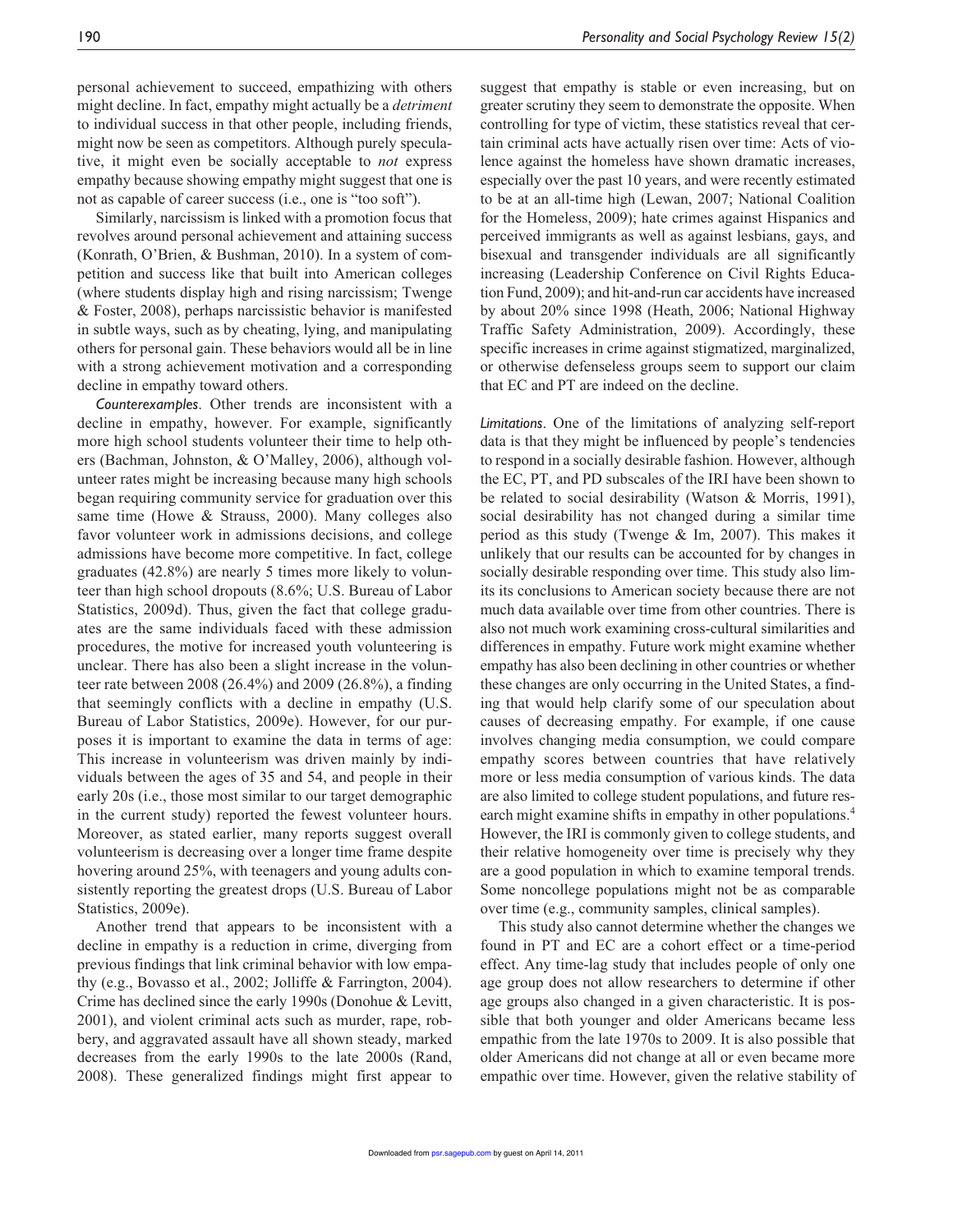personal achievement to succeed, empathizing with others might decline. In fact, empathy might actually be a *detriment* to individual success in that other people, including friends, might now be seen as competitors. Although purely speculative, it might even be socially acceptable to *not* express empathy because showing empathy might suggest that one is not as capable of career success (i.e., one is "too soft").

Similarly, narcissism is linked with a promotion focus that revolves around personal achievement and attaining success (Konrath, O'Brien, & Bushman, 2010). In a system of competition and success like that built into American colleges (where students display high and rising narcissism; Twenge & Foster, 2008), perhaps narcissistic behavior is manifested in subtle ways, such as by cheating, lying, and manipulating others for personal gain. These behaviors would all be in line with a strong achievement motivation and a corresponding decline in empathy toward others.

*Counterexamples*. Other trends are inconsistent with a decline in empathy, however. For example, significantly more high school students volunteer their time to help others (Bachman, Johnston, & O'Malley, 2006), although volunteer rates might be increasing because many high schools began requiring community service for graduation over this same time (Howe & Strauss, 2000). Many colleges also favor volunteer work in admissions decisions, and college admissions have become more competitive. In fact, college graduates (42.8%) are nearly 5 times more likely to volunteer than high school dropouts (8.6%; U.S. Bureau of Labor Statistics, 2009d). Thus, given the fact that college graduates are the same individuals faced with these admission procedures, the motive for increased youth volunteering is unclear. There has also been a slight increase in the volunteer rate between 2008 (26.4%) and 2009 (26.8%), a finding that seemingly conflicts with a decline in empathy (U.S. Bureau of Labor Statistics, 2009e). However, for our purposes it is important to examine the data in terms of age: This increase in volunteerism was driven mainly by individuals between the ages of 35 and 54, and people in their early 20s (i.e., those most similar to our target demographic in the current study) reported the fewest volunteer hours. Moreover, as stated earlier, many reports suggest overall volunteerism is decreasing over a longer time frame despite hovering around 25%, with teenagers and young adults consistently reporting the greatest drops (U.S. Bureau of Labor Statistics, 2009e).

Another trend that appears to be inconsistent with a decline in empathy is a reduction in crime, diverging from previous findings that link criminal behavior with low empathy (e.g., Bovasso et al., 2002; Jolliffe & Farrington, 2004). Crime has declined since the early 1990s (Donohue & Levitt, 2001), and violent criminal acts such as murder, rape, robbery, and aggravated assault have all shown steady, marked decreases from the early 1990s to the late 2000s (Rand, 2008). These generalized findings might first appear to suggest that empathy is stable or even increasing, but on greater scrutiny they seem to demonstrate the opposite. When controlling for type of victim, these statistics reveal that certain criminal acts have actually risen over time: Acts of violence against the homeless have shown dramatic increases, especially over the past 10 years, and were recently estimated to be at an all-time high (Lewan, 2007; National Coalition for the Homeless, 2009); hate crimes against Hispanics and perceived immigrants as well as against lesbians, gays, and bisexual and transgender individuals are all significantly increasing (Leadership Conference on Civil Rights Education Fund, 2009); and hit-and-run car accidents have increased by about 20% since 1998 (Heath, 2006; National Highway Traffic Safety Administration, 2009). Accordingly, these specific increases in crime against stigmatized, marginalized, or otherwise defenseless groups seem to support our claim that EC and PT are indeed on the decline.

*Limitations*. One of the limitations of analyzing self-report data is that they might be influenced by people's tendencies to respond in a socially desirable fashion. However, although the EC, PT, and PD subscales of the IRI have been shown to be related to social desirability (Watson & Morris, 1991), social desirability has not changed during a similar time period as this study (Twenge  $&$  Im, 2007). This makes it unlikely that our results can be accounted for by changes in socially desirable responding over time. This study also limits its conclusions to American society because there are not much data available over time from other countries. There is also not much work examining cross-cultural similarities and differences in empathy. Future work might examine whether empathy has also been declining in other countries or whether these changes are only occurring in the United States, a finding that would help clarify some of our speculation about causes of decreasing empathy. For example, if one cause involves changing media consumption, we could compare empathy scores between countries that have relatively more or less media consumption of various kinds. The data are also limited to college student populations, and future research might examine shifts in empathy in other populations.<sup>4</sup> However, the IRI is commonly given to college students, and their relative homogeneity over time is precisely why they are a good population in which to examine temporal trends. Some noncollege populations might not be as comparable over time (e.g., community samples, clinical samples).

This study also cannot determine whether the changes we found in PT and EC are a cohort effect or a time-period effect. Any time-lag study that includes people of only one age group does not allow researchers to determine if other age groups also changed in a given characteristic. It is possible that both younger and older Americans became less empathic from the late 1970s to 2009. It is also possible that older Americans did not change at all or even became more empathic over time. However, given the relative stability of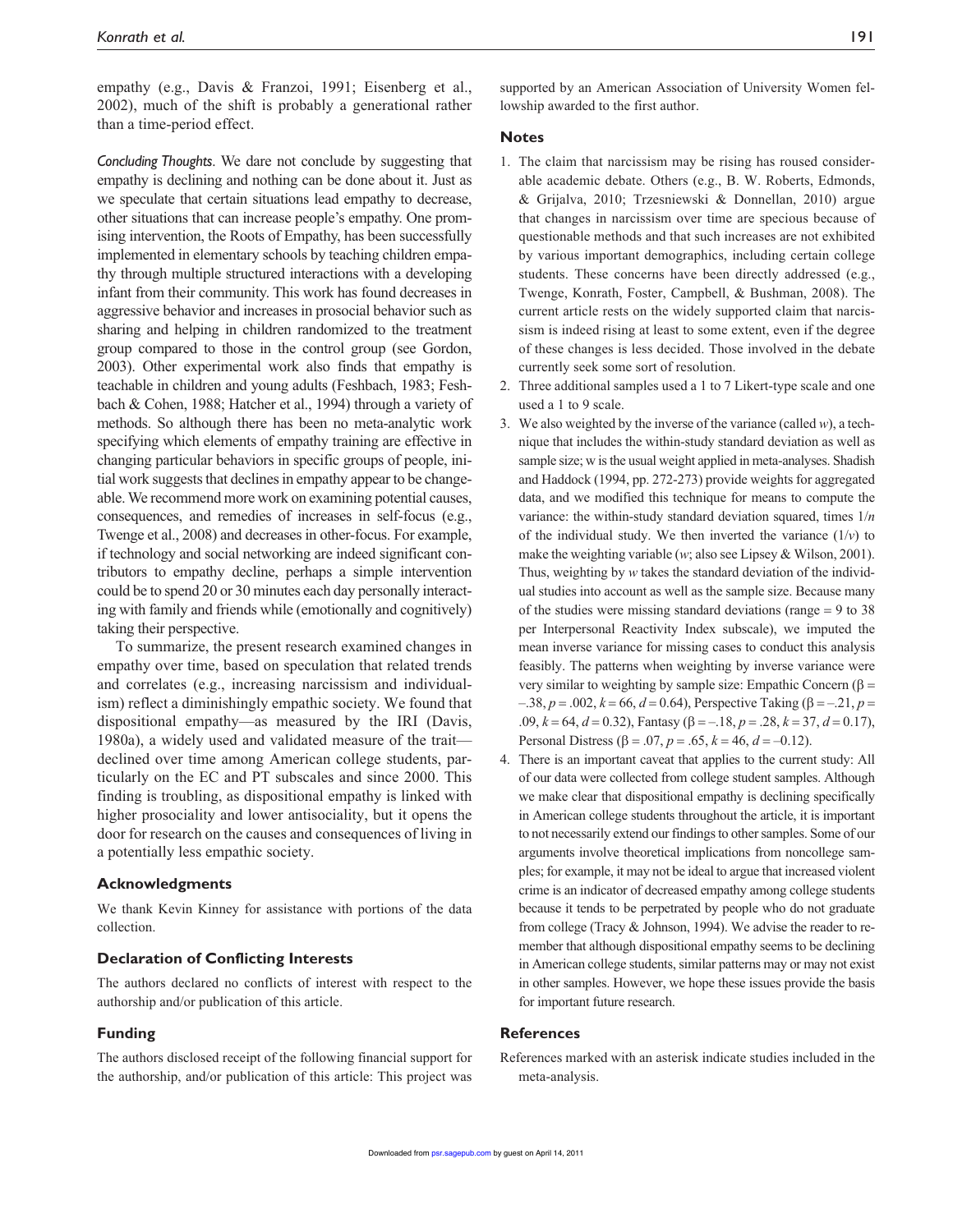empathy (e.g., Davis & Franzoi, 1991; Eisenberg et al., 2002), much of the shift is probably a generational rather than a time-period effect.

*Concluding Thoughts*. We dare not conclude by suggesting that empathy is declining and nothing can be done about it. Just as we speculate that certain situations lead empathy to decrease, other situations that can increase people's empathy. One promising intervention, the Roots of Empathy, has been successfully implemented in elementary schools by teaching children empathy through multiple structured interactions with a developing infant from their community. This work has found decreases in aggressive behavior and increases in prosocial behavior such as sharing and helping in children randomized to the treatment group compared to those in the control group (see Gordon, 2003). Other experimental work also finds that empathy is teachable in children and young adults (Feshbach, 1983; Feshbach & Cohen, 1988; Hatcher et al., 1994) through a variety of methods. So although there has been no meta-analytic work specifying which elements of empathy training are effective in changing particular behaviors in specific groups of people, initial work suggests that declines in empathy appear to be changeable. We recommend more work on examining potential causes, consequences, and remedies of increases in self-focus (e.g., Twenge et al., 2008) and decreases in other-focus. For example, if technology and social networking are indeed significant contributors to empathy decline, perhaps a simple intervention could be to spend 20 or 30 minutes each day personally interacting with family and friends while (emotionally and cognitively) taking their perspective.

To summarize, the present research examined changes in empathy over time, based on speculation that related trends and correlates (e.g., increasing narcissism and individualism) reflect a diminishingly empathic society. We found that dispositional empathy—as measured by the IRI (Davis, 1980a), a widely used and validated measure of the trait declined over time among American college students, particularly on the EC and PT subscales and since 2000. This finding is troubling, as dispositional empathy is linked with higher prosociality and lower antisociality, but it opens the door for research on the causes and consequences of living in a potentially less empathic society.

#### **Acknowledgments**

We thank Kevin Kinney for assistance with portions of the data collection.

### **Declaration of Conflicting Interests**

The authors declared no conflicts of interest with respect to the authorship and/or publication of this article.

### **Funding**

The authors disclosed receipt of the following financial support for the authorship, and/or publication of this article: This project was

supported by an American Association of University Women fellowship awarded to the first author.

## **Notes**

- 1. The claim that narcissism may be rising has roused considerable academic debate. Others (e.g., B. W. Roberts, Edmonds, & Grijalva, 2010; Trzesniewski & Donnellan, 2010) argue that changes in narcissism over time are specious because of questionable methods and that such increases are not exhibited by various important demographics, including certain college students. These concerns have been directly addressed (e.g., Twenge, Konrath, Foster, Campbell, & Bushman, 2008). The current article rests on the widely supported claim that narcissism is indeed rising at least to some extent, even if the degree of these changes is less decided. Those involved in the debate currently seek some sort of resolution.
- 2. Three additional samples used a 1 to 7 Likert-type scale and one used a 1 to 9 scale.
- 3. We also weighted by the inverse of the variance (called *w*), a technique that includes the within-study standard deviation as well as sample size; w is the usual weight applied in meta-analyses. Shadish and Haddock (1994, pp. 272-273) provide weights for aggregated data, and we modified this technique for means to compute the variance: the within-study standard deviation squared, times 1/*n* of the individual study. We then inverted the variance  $(1/v)$  to make the weighting variable (*w*; also see Lipsey & Wilson, 2001). Thus, weighting by *w* takes the standard deviation of the individual studies into account as well as the sample size. Because many of the studies were missing standard deviations (range  $= 9$  to 38 per Interpersonal Reactivity Index subscale), we imputed the mean inverse variance for missing cases to conduct this analysis feasibly. The patterns when weighting by inverse variance were very similar to weighting by sample size: Empathic Concern ( $\beta$  =  $-38, p = .002, k = 66, d = 0.64$ ), Perspective Taking ( $\beta = -0.21, p =$ .09,  $k = 64$ ,  $d = 0.32$ ), Fantasy ( $\beta = -.18$ ,  $p = .28$ ,  $k = 37$ ,  $d = 0.17$ ), Personal Distress ( $\beta = .07$ ,  $p = .65$ ,  $k = 46$ ,  $d = -0.12$ ).
- There is an important caveat that applies to the current study: All of our data were collected from college student samples. Although we make clear that dispositional empathy is declining specifically in American college students throughout the article, it is important to not necessarily extend our findings to other samples. Some of our arguments involve theoretical implications from noncollege samples; for example, it may not be ideal to argue that increased violent crime is an indicator of decreased empathy among college students because it tends to be perpetrated by people who do not graduate from college (Tracy & Johnson, 1994). We advise the reader to remember that although dispositional empathy seems to be declining in American college students, similar patterns may or may not exist in other samples. However, we hope these issues provide the basis for important future research.

#### **References**

References marked with an asterisk indicate studies included in the meta-analysis.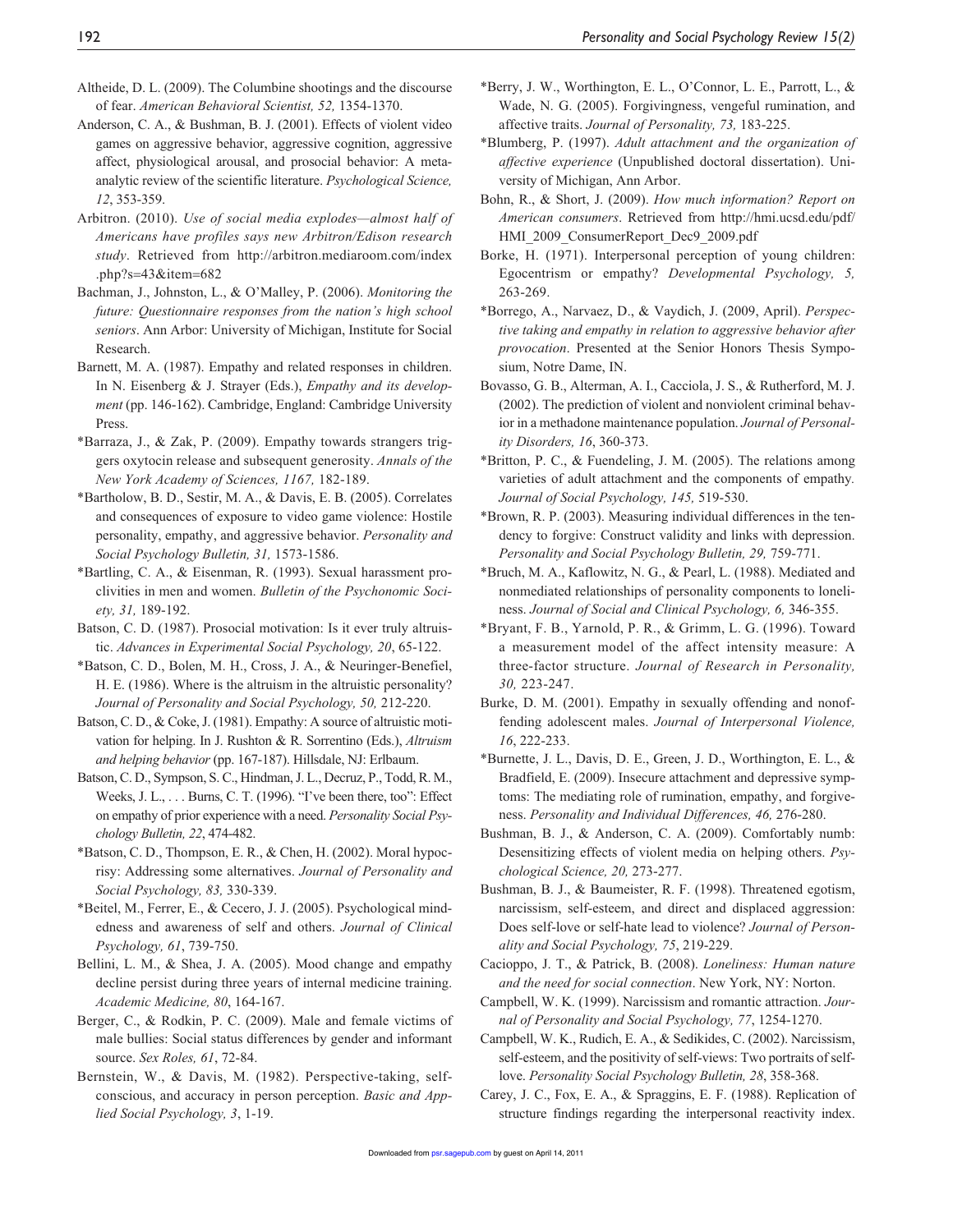- Altheide, D. L. (2009). The Columbine shootings and the discourse of fear. *American Behavioral Scientist, 52,* 1354-1370.
- Anderson, C. A., & Bushman, B. J. (2001). Effects of violent video games on aggressive behavior, aggressive cognition, aggressive affect, physiological arousal, and prosocial behavior: A metaanalytic review of the scientific literature. *Psychological Science, 12*, 353-359.
- Arbitron. (2010). *Use of social media explodes—almost half of Americans have profiles says new Arbitron/Edison research study*. Retrieved from http://arbitron.mediaroom.com/index .php?s=43&item=682
- Bachman, J., Johnston, L., & O'Malley, P. (2006). *Monitoring the future: Questionnaire responses from the nation's high school seniors*. Ann Arbor: University of Michigan, Institute for Social Research.
- Barnett, M. A. (1987). Empathy and related responses in children. In N. Eisenberg & J. Strayer (Eds.), *Empathy and its development* (pp. 146-162). Cambridge, England: Cambridge University Press.
- \*Barraza, J., & Zak, P. (2009). Empathy towards strangers triggers oxytocin release and subsequent generosity. *Annals of the New York Academy of Sciences, 1167,* 182-189.
- \*Bartholow, B. D., Sestir, M. A., & Davis, E. B. (2005). Correlates and consequences of exposure to video game violence: Hostile personality, empathy, and aggressive behavior. *Personality and Social Psychology Bulletin, 31,* 1573-1586.
- \*Bartling, C. A., & Eisenman, R. (1993). Sexual harassment proclivities in men and women. *Bulletin of the Psychonomic Society, 31,* 189-192.
- Batson, C. D. (1987). Prosocial motivation: Is it ever truly altruistic. *Advances in Experimental Social Psychology, 20*, 65-122.
- \*Batson, C. D., Bolen, M. H., Cross, J. A., & Neuringer-Benefiel, H. E. (1986). Where is the altruism in the altruistic personality? *Journal of Personality and Social Psychology, 50,* 212-220.
- Batson, C. D., & Coke, J. (1981). Empathy: A source of altruistic motivation for helping. In J. Rushton & R. Sorrentino (Eds.), *Altruism and helping behavior* (pp. 167-187). Hillsdale, NJ: Erlbaum.
- Batson, C. D., Sympson, S. C., Hindman, J. L., Decruz, P., Todd, R. M., Weeks, J. L., . . . Burns, C. T. (1996). "I've been there, too": Effect on empathy of prior experience with a need. *Personality Social Psychology Bulletin, 22*, 474-482.
- \*Batson, C. D., Thompson, E. R., & Chen, H. (2002). Moral hypocrisy: Addressing some alternatives. *Journal of Personality and Social Psychology, 83,* 330-339.
- \*Beitel, M., Ferrer, E., & Cecero, J. J. (2005). Psychological mindedness and awareness of self and others. *Journal of Clinical Psychology, 61*, 739-750.
- Bellini, L. M., & Shea, J. A. (2005). Mood change and empathy decline persist during three years of internal medicine training. *Academic Medicine, 80*, 164-167.
- Berger, C., & Rodkin, P. C. (2009). Male and female victims of male bullies: Social status differences by gender and informant source. *Sex Roles, 61*, 72-84.
- Bernstein, W., & Davis, M. (1982). Perspective-taking, selfconscious, and accuracy in person perception. *Basic and Applied Social Psychology, 3*, 1-19.
- \*Berry, J. W., Worthington, E. L., O'Connor, L. E., Parrott, L., & Wade, N. G. (2005). Forgivingness, vengeful rumination, and affective traits. *Journal of Personality, 73,* 183-225.
- \*Blumberg, P. (1997). *Adult attachment and the organization of affective experience* (Unpublished doctoral dissertation). University of Michigan, Ann Arbor.
- Bohn, R., & Short, J. (2009). *How much information? Report on American consumers*. Retrieved from http://hmi.ucsd.edu/pdf/ HMI\_2009\_ConsumerReport\_Dec9\_2009.pdf
- Borke, H. (1971). Interpersonal perception of young children: Egocentrism or empathy? *Developmental Psychology, 5,*  263-269.
- \*Borrego, A., Narvaez, D., & Vaydich, J. (2009, April). *Perspective taking and empathy in relation to aggressive behavior after provocation*. Presented at the Senior Honors Thesis Symposium, Notre Dame, IN.
- Bovasso, G. B., Alterman, A. I., Cacciola, J. S., & Rutherford, M. J. (2002). The prediction of violent and nonviolent criminal behavior in a methadone maintenance population. *Journal of Personality Disorders, 16*, 360-373.
- \*Britton, P. C., & Fuendeling, J. M. (2005). The relations among varieties of adult attachment and the components of empathy*. Journal of Social Psychology, 145,* 519-530.
- \*Brown, R. P. (2003). Measuring individual differences in the tendency to forgive: Construct validity and links with depression. *Personality and Social Psychology Bulletin, 29,* 759-771.
- \*Bruch, M. A., Kaflowitz, N. G., & Pearl, L. (1988). Mediated and nonmediated relationships of personality components to loneliness. *Journal of Social and Clinical Psychology, 6,* 346-355.
- \*Bryant, F. B., Yarnold, P. R., & Grimm, L. G. (1996). Toward a measurement model of the affect intensity measure: A three-factor structure. *Journal of Research in Personality, 30,* 223-247.
- Burke, D. M. (2001). Empathy in sexually offending and nonoffending adolescent males. *Journal of Interpersonal Violence, 16*, 222-233.
- \*Burnette, J. L., Davis, D. E., Green, J. D., Worthington, E. L., & Bradfield, E. (2009). Insecure attachment and depressive symptoms: The mediating role of rumination, empathy, and forgiveness. *Personality and Individual Differences, 46,* 276-280.
- Bushman, B. J., & Anderson, C. A. (2009). Comfortably numb: Desensitizing effects of violent media on helping others. *Psychological Science, 20,* 273-277.
- Bushman, B. J., & Baumeister, R. F. (1998). Threatened egotism, narcissism, self-esteem, and direct and displaced aggression: Does self-love or self-hate lead to violence? *Journal of Personality and Social Psychology, 75*, 219-229.
- Cacioppo, J. T., & Patrick, B. (2008). *Loneliness: Human nature and the need for social connection*. New York, NY: Norton.
- Campbell, W. K. (1999). Narcissism and romantic attraction. *Journal of Personality and Social Psychology, 77*, 1254-1270.
- Campbell, W. K., Rudich, E. A., & Sedikides, C. (2002). Narcissism, self-esteem, and the positivity of self-views: Two portraits of selflove. *Personality Social Psychology Bulletin, 28*, 358-368.
- Carey, J. C., Fox, E. A., & Spraggins, E. F. (1988). Replication of structure findings regarding the interpersonal reactivity index.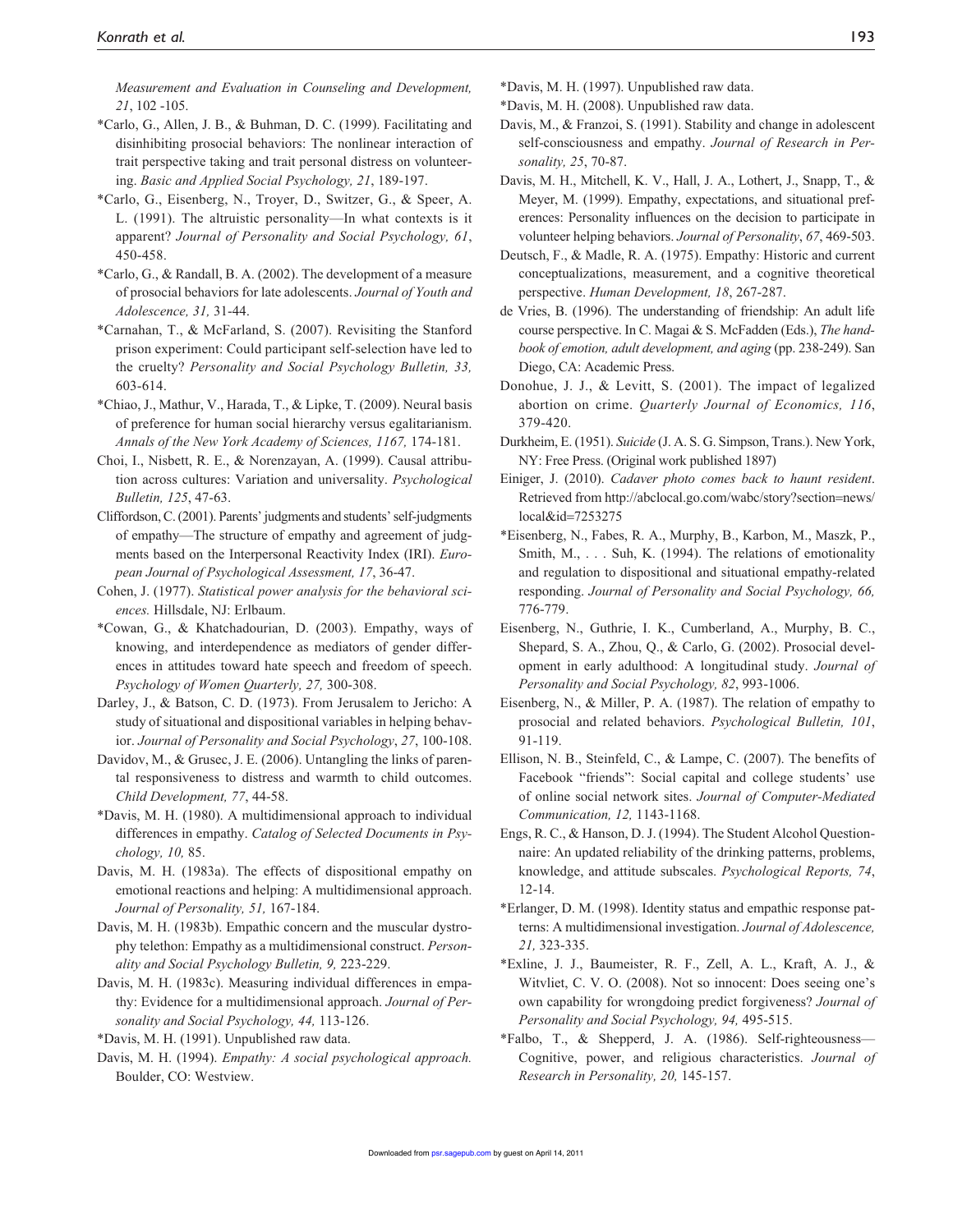*Measurement and Evaluation in Counseling and Development, 21*, 102 -105.

- \*Carlo, G., Allen, J. B., & Buhman, D. C. (1999). Facilitating and disinhibiting prosocial behaviors: The nonlinear interaction of trait perspective taking and trait personal distress on volunteering. *Basic and Applied Social Psychology, 21*, 189-197.
- \*Carlo, G., Eisenberg, N., Troyer, D., Switzer, G., & Speer, A. L. (1991). The altruistic personality—In what contexts is it apparent? *Journal of Personality and Social Psychology, 61*, 450-458.
- \*Carlo, G., & Randall, B. A. (2002). The development of a measure of prosocial behaviors for late adolescents. *Journal of Youth and Adolescence, 31,* 31-44.
- \*Carnahan, T., & McFarland, S. (2007). Revisiting the Stanford prison experiment: Could participant self-selection have led to the cruelty? *Personality and Social Psychology Bulletin, 33,*  603-614.
- \*Chiao, J., Mathur, V., Harada, T., & Lipke, T. (2009). Neural basis of preference for human social hierarchy versus egalitarianism. *Annals of the New York Academy of Sciences, 1167,* 174-181.
- Choi, I., Nisbett, R. E., & Norenzayan, A. (1999). Causal attribution across cultures: Variation and universality. *Psychological Bulletin, 125*, 47-63.
- Cliffordson, C. (2001). Parents' judgments and students' self-judgments of empathy—The structure of empathy and agreement of judgments based on the Interpersonal Reactivity Index (IRI). *European Journal of Psychological Assessment, 17*, 36-47.
- Cohen, J. (1977). *Statistical power analysis for the behavioral sciences.* Hillsdale, NJ: Erlbaum.
- \*Cowan, G., & Khatchadourian, D. (2003). Empathy, ways of knowing, and interdependence as mediators of gender differences in attitudes toward hate speech and freedom of speech. *Psychology of Women Quarterly, 27,* 300-308.
- Darley, J., & Batson, C. D. (1973). From Jerusalem to Jericho: A study of situational and dispositional variables in helping behavior. *Journal of Personality and Social Psychology*, *27*, 100-108.
- Davidov, M., & Grusec, J. E. (2006). Untangling the links of parental responsiveness to distress and warmth to child outcomes. *Child Development, 77*, 44-58.
- \*Davis, M. H. (1980). A multidimensional approach to individual differences in empathy. *Catalog of Selected Documents in Psychology, 10,* 85.
- Davis, M. H. (1983a). The effects of dispositional empathy on emotional reactions and helping: A multidimensional approach. *Journal of Personality, 51,* 167-184.
- Davis, M. H. (1983b). Empathic concern and the muscular dystrophy telethon: Empathy as a multidimensional construct. *Personality and Social Psychology Bulletin, 9,* 223-229.
- Davis, M. H. (1983c). Measuring individual differences in empathy: Evidence for a multidimensional approach. *Journal of Personality and Social Psychology, 44,* 113-126.
- \*Davis, M. H. (1991). Unpublished raw data.
- Davis, M. H. (1994). *Empathy: A social psychological approach.*  Boulder, CO: Westview.

\*Davis, M. H. (1997). Unpublished raw data.

- \*Davis, M. H. (2008). Unpublished raw data.
- Davis, M., & Franzoi, S. (1991). Stability and change in adolescent self-consciousness and empathy. *Journal of Research in Personality, 25*, 70-87.
- Davis, M. H., Mitchell, K. V., Hall, J. A., Lothert, J., Snapp, T., & Meyer, M. (1999). Empathy, expectations, and situational preferences: Personality influences on the decision to participate in volunteer helping behaviors. *Journal of Personality*, *67*, 469-503.
- Deutsch, F., & Madle, R. A. (1975). Empathy: Historic and current conceptualizations, measurement, and a cognitive theoretical perspective. *Human Development, 18*, 267-287.
- de Vries, B. (1996). The understanding of friendship: An adult life course perspective. In C. Magai & S. McFadden (Eds.), *The handbook of emotion, adult development, and aging* (pp. 238-249). San Diego, CA: Academic Press.
- Donohue, J. J., & Levitt, S. (2001). The impact of legalized abortion on crime. *Quarterly Journal of Economics, 116*, 379-420.
- Durkheim, E. (1951). *Suicide* (J. A. S. G. Simpson, Trans.). New York, NY: Free Press. (Original work published 1897)
- Einiger, J. (2010). *Cadaver photo comes back to haunt resident*. Retrieved from http://abclocal.go.com/wabc/story?section=news/ local&id=7253275
- \*Eisenberg, N., Fabes, R. A., Murphy, B., Karbon, M., Maszk, P., Smith, M., . . . Suh, K. (1994). The relations of emotionality and regulation to dispositional and situational empathy-related responding. *Journal of Personality and Social Psychology, 66,* 776-779.
- Eisenberg, N., Guthrie, I. K., Cumberland, A., Murphy, B. C., Shepard, S. A., Zhou, Q., & Carlo, G. (2002). Prosocial development in early adulthood: A longitudinal study. *Journal of Personality and Social Psychology, 82*, 993-1006.
- Eisenberg, N., & Miller, P. A. (1987). The relation of empathy to prosocial and related behaviors. *Psychological Bulletin, 101*, 91-119.
- Ellison, N. B., Steinfeld, C., & Lampe, C. (2007). The benefits of Facebook "friends": Social capital and college students' use of online social network sites. *Journal of Computer-Mediated Communication, 12,* 1143-1168.
- Engs, R. C., & Hanson, D. J. (1994). The Student Alcohol Questionnaire: An updated reliability of the drinking patterns, problems, knowledge, and attitude subscales. *Psychological Reports, 74*, 12-14.
- \*Erlanger, D. M. (1998). Identity status and empathic response patterns: A multidimensional investigation. *Journal of Adolescence, 21,* 323-335.
- \*Exline, J. J., Baumeister, R. F., Zell, A. L., Kraft, A. J., & Witvliet, C. V. O. (2008). Not so innocent: Does seeing one's own capability for wrongdoing predict forgiveness? *Journal of Personality and Social Psychology, 94,* 495-515.
- \*Falbo, T., & Shepperd, J. A. (1986). Self-righteousness— Cognitive, power, and religious characteristics. *Journal of Research in Personality, 20,* 145-157.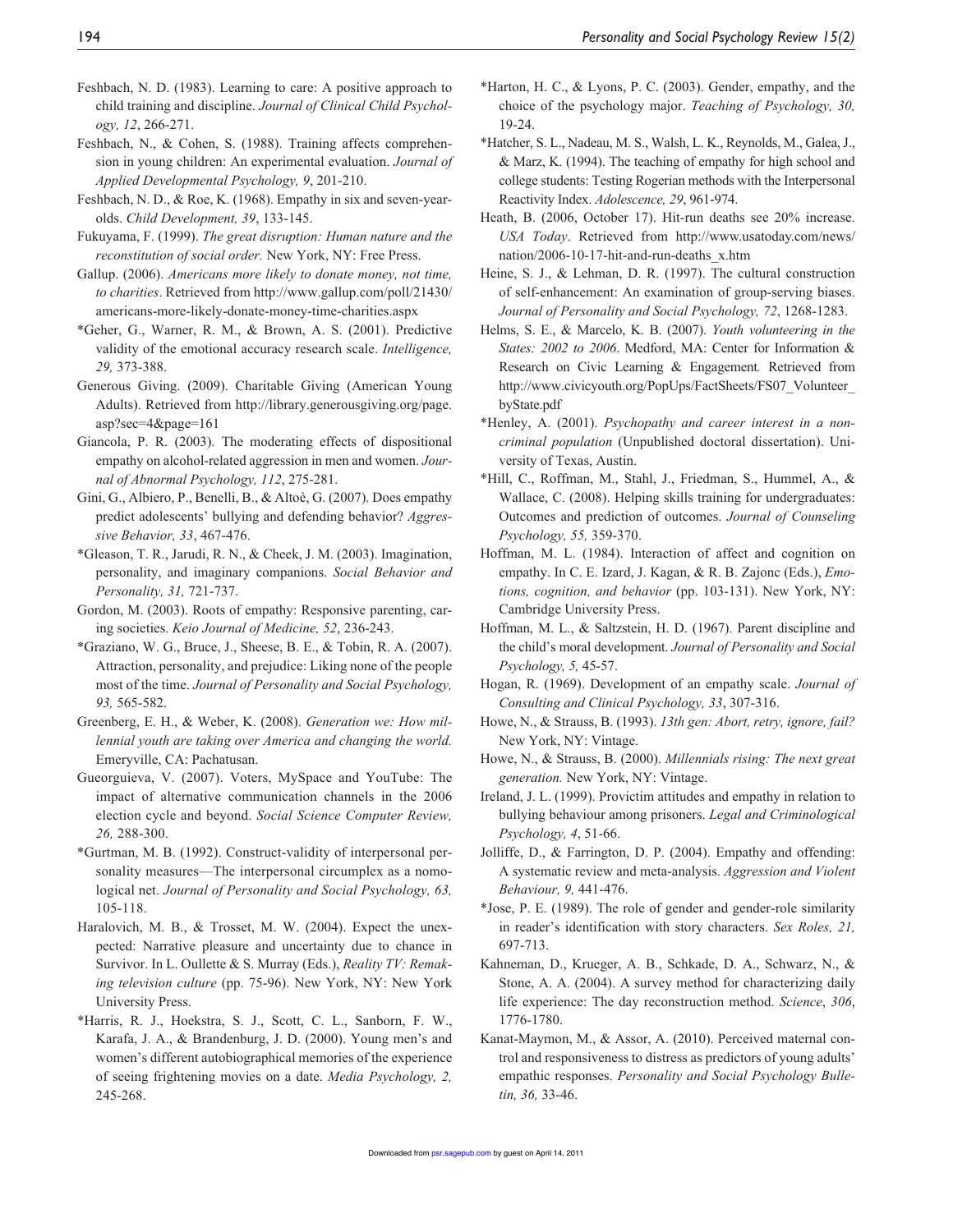- Feshbach, N. D. (1983). Learning to care: A positive approach to child training and discipline. *Journal of Clinical Child Psychology, 12*, 266-271.
- Feshbach, N., & Cohen, S. (1988). Training affects comprehension in young children: An experimental evaluation. *Journal of Applied Developmental Psychology, 9*, 201-210.
- Feshbach, N. D., & Roe, K. (1968). Empathy in six and seven-yearolds. *Child Development, 39*, 133-145.
- Fukuyama, F. (1999). *The great disruption: Human nature and the reconstitution of social order.* New York, NY: Free Press.
- Gallup. (2006). *Americans more likely to donate money, not time, to charities*. Retrieved from http://www.gallup.com/poll/21430/ americans-more-likely-donate-money-time-charities.aspx
- \*Geher, G., Warner, R. M., & Brown, A. S. (2001). Predictive validity of the emotional accuracy research scale. *Intelligence, 29,* 373-388.
- Generous Giving. (2009). Charitable Giving (American Young Adults). Retrieved from http://library.generousgiving.org/page. asp?sec=4&page=161
- Giancola, P. R. (2003). The moderating effects of dispositional empathy on alcohol-related aggression in men and women. *Journal of Abnormal Psychology, 112*, 275-281.
- Gini, G., Albiero, P., Benelli, B., & Altoè, G. (2007). Does empathy predict adolescents' bullying and defending behavior? *Aggressive Behavior, 33*, 467-476.
- \*Gleason, T. R., Jarudi, R. N., & Cheek, J. M. (2003). Imagination, personality, and imaginary companions. *Social Behavior and Personality, 31,* 721-737.
- Gordon, M. (2003). Roots of empathy: Responsive parenting, caring societies. *Keio Journal of Medicine, 52*, 236-243.
- \*Graziano, W. G., Bruce, J., Sheese, B. E., & Tobin, R. A. (2007). Attraction, personality, and prejudice: Liking none of the people most of the time. *Journal of Personality and Social Psychology, 93,* 565-582.
- Greenberg, E. H., & Weber, K. (2008). *Generation we: How millennial youth are taking over America and changing the world.*  Emeryville, CA: Pachatusan.
- Gueorguieva, V. (2007). Voters, MySpace and YouTube: The impact of alternative communication channels in the 2006 election cycle and beyond. *Social Science Computer Review, 26,* 288-300.
- \*Gurtman, M. B. (1992). Construct-validity of interpersonal personality measures—The interpersonal circumplex as a nomological net. *Journal of Personality and Social Psychology, 63,* 105-118.
- Haralovich, M. B., & Trosset, M. W. (2004). Expect the unexpected: Narrative pleasure and uncertainty due to chance in Survivor. In L. Oullette & S. Murray (Eds.), *Reality TV: Remaking television culture* (pp. 75-96). New York, NY: New York University Press.
- \*Harris, R. J., Hoekstra, S. J., Scott, C. L., Sanborn, F. W., Karafa, J. A., & Brandenburg, J. D. (2000). Young men's and women's different autobiographical memories of the experience of seeing frightening movies on a date. *Media Psychology, 2,* 245-268.
- \*Harton, H. C., & Lyons, P. C. (2003). Gender, empathy, and the choice of the psychology major. *Teaching of Psychology, 30,* 19-24.
- \*Hatcher, S. L., Nadeau, M. S., Walsh, L. K., Reynolds, M., Galea, J., & Marz, K. (1994). The teaching of empathy for high school and college students: Testing Rogerian methods with the Interpersonal Reactivity Index. *Adolescence, 29*, 961-974.
- Heath, B. (2006, October 17). Hit-run deaths see 20% increase. *USA Today*. Retrieved from http://www.usatoday.com/news/ nation/2006-10-17-hit-and-run-deaths\_x.htm
- Heine, S. J., & Lehman, D. R. (1997). The cultural construction of self-enhancement: An examination of group-serving biases. *Journal of Personality and Social Psychology, 72*, 1268-1283.
- Helms, S. E., & Marcelo, K. B. (2007). *Youth volunteering in the States: 2002 to 2006*. Medford, MA: Center for Information & Research on Civic Learning & Engagement*.* Retrieved from http://www.civicyouth.org/PopUps/FactSheets/FS07\_Volunteer\_ byState.pdf
- \*Henley, A. (2001). *Psychopathy and career interest in a noncriminal population* (Unpublished doctoral dissertation). University of Texas, Austin.
- \*Hill, C., Roffman, M., Stahl, J., Friedman, S., Hummel, A., & Wallace, C. (2008). Helping skills training for undergraduates: Outcomes and prediction of outcomes. *Journal of Counseling Psychology, 55,* 359-370.
- Hoffman, M. L. (1984). Interaction of affect and cognition on empathy. In C. E. Izard, J. Kagan, & R. B. Zajonc (Eds.), *Emotions, cognition, and behavior* (pp. 103-131). New York, NY: Cambridge University Press.
- Hoffman, M. L., & Saltzstein, H. D. (1967). Parent discipline and the child's moral development. *Journal of Personality and Social Psychology, 5,* 45-57.
- Hogan, R. (1969). Development of an empathy scale. *Journal of Consulting and Clinical Psychology, 33*, 307-316.
- Howe, N., & Strauss, B. (1993). *13th gen: Abort, retry, ignore, fail?*  New York, NY: Vintage.
- Howe, N., & Strauss, B. (2000). *Millennials rising: The next great generation.* New York, NY: Vintage.
- Ireland, J. L. (1999). Provictim attitudes and empathy in relation to bullying behaviour among prisoners. *Legal and Criminological Psychology, 4*, 51-66.
- Jolliffe, D., & Farrington, D. P. (2004). Empathy and offending: A systematic review and meta-analysis. *Aggression and Violent Behaviour, 9,* 441-476.
- \*Jose, P. E. (1989). The role of gender and gender-role similarity in reader's identification with story characters. *Sex Roles, 21,* 697-713.
- Kahneman, D., Krueger, A. B., Schkade, D. A., Schwarz, N., & Stone, A. A. (2004). A survey method for characterizing daily life experience: The day reconstruction method. *Science*, *306*, 1776-1780.
- Kanat-Maymon, M., & Assor, A. (2010). Perceived maternal control and responsiveness to distress as predictors of young adults' empathic responses. *Personality and Social Psychology Bulletin, 36,* 33-46.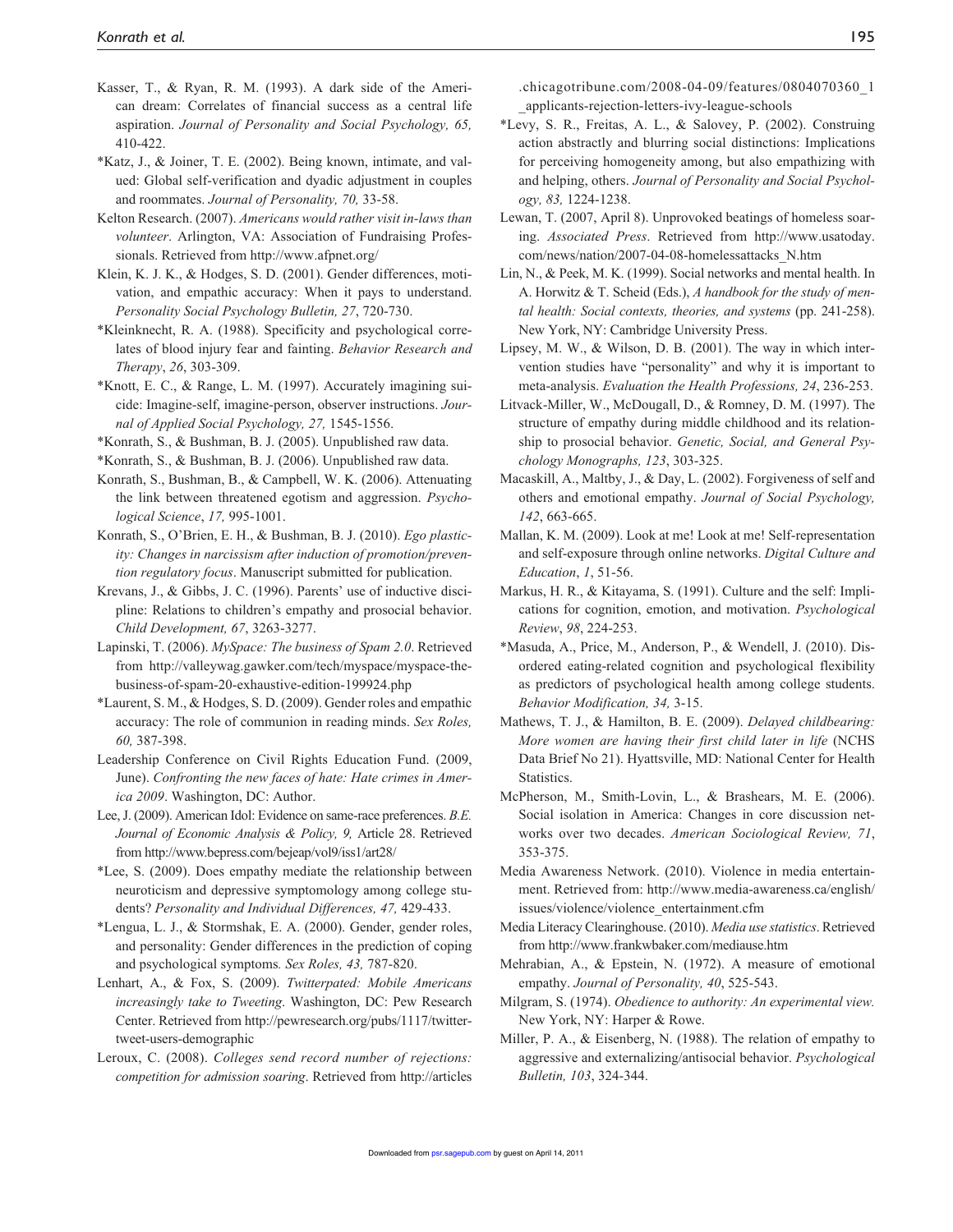- Kasser, T., & Ryan, R. M. (1993). A dark side of the American dream: Correlates of financial success as a central life aspiration. *Journal of Personality and Social Psychology, 65,*  410-422.
- \*Katz, J., & Joiner, T. E. (2002). Being known, intimate, and valued: Global self-verification and dyadic adjustment in couples and roommates. *Journal of Personality, 70,* 33-58.
- Kelton Research. (2007). *Americans would rather visit in-laws than volunteer*. Arlington, VA: Association of Fundraising Professionals. Retrieved from http://www.afpnet.org/
- Klein, K. J. K., & Hodges, S. D. (2001). Gender differences, motivation, and empathic accuracy: When it pays to understand. *Personality Social Psychology Bulletin, 27*, 720-730.
- \*Kleinknecht, R. A. (1988). Specificity and psychological correlates of blood injury fear and fainting. *Behavior Research and Therapy*, *26*, 303-309.
- \*Knott, E. C., & Range, L. M. (1997). Accurately imagining suicide: Imagine-self, imagine-person, observer instructions. *Journal of Applied Social Psychology, 27,* 1545-1556.
- \*Konrath, S., & Bushman, B. J. (2005). Unpublished raw data.
- \*Konrath, S., & Bushman, B. J. (2006). Unpublished raw data.
- Konrath, S., Bushman, B., & Campbell, W. K. (2006). Attenuating the link between threatened egotism and aggression. *Psychological Science*, *17,* 995-1001.
- Konrath, S., O'Brien, E. H., & Bushman, B. J. (2010). *Ego plasticity: Changes in narcissism after induction of promotion/prevention regulatory focus*. Manuscript submitted for publication.
- Krevans, J., & Gibbs, J. C. (1996). Parents' use of inductive discipline: Relations to children's empathy and prosocial behavior. *Child Development, 67*, 3263-3277.
- Lapinski, T. (2006). *MySpace: The business of Spam 2.0*. Retrieved from http://valleywag.gawker.com/tech/myspace/myspace-thebusiness-of-spam-20-exhaustive-edition-199924.php
- \*Laurent, S. M., & Hodges, S. D. (2009). Gender roles and empathic accuracy: The role of communion in reading minds. *Sex Roles, 60,* 387-398.
- Leadership Conference on Civil Rights Education Fund. (2009, June). *Confronting the new faces of hate: Hate crimes in America 2009*. Washington, DC: Author.
- Lee, J. (2009). American Idol: Evidence on same-race preferences. *B.E. Journal of Economic Analysis & Policy, 9,* Article 28. Retrieved from http://www.bepress.com/bejeap/vol9/iss1/art28/
- \*Lee, S. (2009). Does empathy mediate the relationship between neuroticism and depressive symptomology among college students? *Personality and Individual Differences, 47,* 429-433.
- \*Lengua, L. J., & Stormshak, E. A. (2000). Gender, gender roles, and personality: Gender differences in the prediction of coping and psychological symptoms*. Sex Roles, 43,* 787-820.
- Lenhart, A., & Fox, S. (2009). *Twitterpated: Mobile Americans increasingly take to Tweeting*. Washington, DC: Pew Research Center. Retrieved from http://pewresearch.org/pubs/1117/twittertweet-users-demographic
- Leroux, C. (2008). *Colleges send record number of rejections: competition for admission soaring*. Retrieved from http://articles

.chicagotribune.com/2008-04-09/features/0804070360\_1 \_applicants-rejection-letters-ivy-league-schools

- \*Levy, S. R., Freitas, A. L., & Salovey, P. (2002). Construing action abstractly and blurring social distinctions: Implications for perceiving homogeneity among, but also empathizing with and helping, others. *Journal of Personality and Social Psychology, 83,* 1224-1238.
- Lewan, T. (2007, April 8). Unprovoked beatings of homeless soaring. *Associated Press*. Retrieved from http://www.usatoday. com/news/nation/2007-04-08-homelessattacks\_N.htm
- Lin, N., & Peek, M. K. (1999). Social networks and mental health. In A. Horwitz & T. Scheid (Eds.), *A handbook for the study of mental health: Social contexts, theories, and systems* (pp. 241-258). New York, NY: Cambridge University Press.
- Lipsey, M. W., & Wilson, D. B. (2001). The way in which intervention studies have "personality" and why it is important to meta-analysis. *Evaluation the Health Professions, 24*, 236-253.
- Litvack-Miller, W., McDougall, D., & Romney, D. M. (1997). The structure of empathy during middle childhood and its relationship to prosocial behavior. *Genetic, Social, and General Psychology Monographs, 123*, 303-325.
- Macaskill, A., Maltby, J., & Day, L. (2002). Forgiveness of self and others and emotional empathy. *Journal of Social Psychology, 142*, 663-665.
- Mallan, K. M. (2009). Look at me! Look at me! Self-representation and self-exposure through online networks. *Digital Culture and Education*, *1*, 51-56.
- Markus, H. R., & Kitayama, S. (1991). Culture and the self: Implications for cognition, emotion, and motivation. *Psychological Review*, *98*, 224-253.
- \*Masuda, A., Price, M., Anderson, P., & Wendell, J. (2010). Disordered eating-related cognition and psychological flexibility as predictors of psychological health among college students. *Behavior Modification, 34,* 3-15.
- Mathews, T. J., & Hamilton, B. E. (2009). *Delayed childbearing: More women are having their first child later in life* (NCHS Data Brief No 21). Hyattsville, MD: National Center for Health Statistics.
- McPherson, M., Smith-Lovin, L., & Brashears, M. E. (2006). Social isolation in America: Changes in core discussion networks over two decades. *American Sociological Review, 71*, 353-375.
- Media Awareness Network. (2010). Violence in media entertainment. Retrieved from: http://www.media-awareness.ca/english/ issues/violence/violence\_entertainment.cfm
- Media Literacy Clearinghouse. (2010). *Media use statistics*. Retrieved from http://www.frankwbaker.com/mediause.htm
- Mehrabian, A., & Epstein, N. (1972). A measure of emotional empathy. *Journal of Personality, 40*, 525-543.
- Milgram, S. (1974). *Obedience to authority: An experimental view.*  New York, NY: Harper & Rowe.
- Miller, P. A., & Eisenberg, N. (1988). The relation of empathy to aggressive and externalizing/antisocial behavior. *Psychological Bulletin, 103*, 324-344.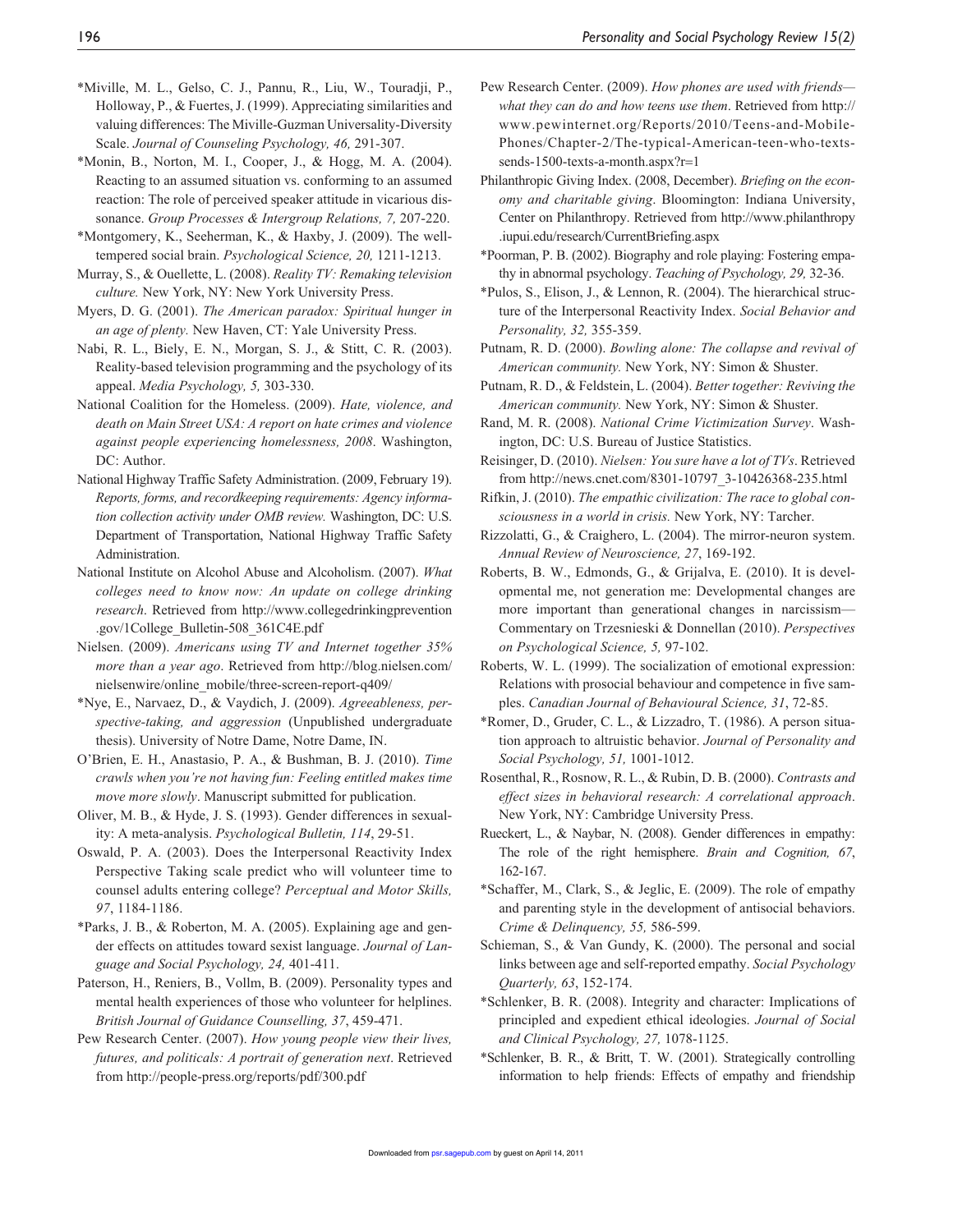- \*Miville, M. L., Gelso, C. J., Pannu, R., Liu, W., Touradji, P., Holloway, P., & Fuertes, J. (1999). Appreciating similarities and valuing differences: The Miville-Guzman Universality-Diversity Scale. *Journal of Counseling Psychology, 46,* 291-307.
- \*Monin, B., Norton, M. I., Cooper, J., & Hogg, M. A. (2004). Reacting to an assumed situation vs. conforming to an assumed reaction: The role of perceived speaker attitude in vicarious dissonance. *Group Processes & Intergroup Relations, 7,* 207-220.
- \*Montgomery, K., Seeherman, K., & Haxby, J. (2009). The welltempered social brain. *Psychological Science, 20,* 1211-1213.
- Murray, S., & Ouellette, L. (2008). *Reality TV: Remaking television culture.* New York, NY: New York University Press.
- Myers, D. G. (2001). *The American paradox: Spiritual hunger in an age of plenty.* New Haven, CT: Yale University Press.
- Nabi, R. L., Biely, E. N., Morgan, S. J., & Stitt, C. R. (2003). Reality-based television programming and the psychology of its appeal. *Media Psychology, 5,* 303-330.
- National Coalition for the Homeless. (2009). *Hate, violence, and death on Main Street USA: A report on hate crimes and violence against people experiencing homelessness, 2008*. Washington, DC: Author.
- National Highway Traffic Safety Administration. (2009, February 19). *Reports, forms, and recordkeeping requirements: Agency information collection activity under OMB review.* Washington, DC: U.S. Department of Transportation, National Highway Traffic Safety Administration.
- National Institute on Alcohol Abuse and Alcoholism. (2007). *What colleges need to know now: An update on college drinking research*. Retrieved from http://www.collegedrinkingprevention .gov/1College\_Bulletin-508\_361C4E.pdf
- Nielsen. (2009). *Americans using TV and Internet together 35% more than a year ago*. Retrieved from http://blog.nielsen.com/ nielsenwire/online\_mobile/three-screen-report-q409/
- \*Nye, E., Narvaez, D., & Vaydich, J. (2009). *Agreeableness, perspective-taking, and aggression* (Unpublished undergraduate thesis). University of Notre Dame, Notre Dame, IN.
- O'Brien, E. H., Anastasio, P. A., & Bushman, B. J. (2010). *Time crawls when you're not having fun: Feeling entitled makes time move more slowly*. Manuscript submitted for publication.
- Oliver, M. B., & Hyde, J. S. (1993). Gender differences in sexuality: A meta-analysis. *Psychological Bulletin, 114*, 29-51.
- Oswald, P. A. (2003). Does the Interpersonal Reactivity Index Perspective Taking scale predict who will volunteer time to counsel adults entering college? *Perceptual and Motor Skills, 97*, 1184-1186.
- \*Parks, J. B., & Roberton, M. A. (2005). Explaining age and gender effects on attitudes toward sexist language. *Journal of Language and Social Psychology, 24,* 401-411.
- Paterson, H., Reniers, B., Vollm, B. (2009). Personality types and mental health experiences of those who volunteer for helplines. *British Journal of Guidance Counselling, 37*, 459-471.
- Pew Research Center. (2007). *How young people view their lives, futures, and politicals: A portrait of generation next*. Retrieved from http://people-press.org/reports/pdf/300.pdf
- Pew Research Center. (2009). *How phones are used with friends what they can do and how teens use them*. Retrieved from http:// www.pewinternet.org/Reports/2010/Teens-and-Mobile-Phones/Chapter-2/The-typical-American-teen-who-textssends-1500-texts-a-month.aspx?r=1
- Philanthropic Giving Index. (2008, December). *Briefing on the economy and charitable giving*. Bloomington: Indiana University, Center on Philanthropy. Retrieved from http://www.philanthropy .iupui.edu/research/CurrentBriefing.aspx
- \*Poorman, P. B. (2002). Biography and role playing: Fostering empathy in abnormal psychology. *Teaching of Psychology, 29,* 32-36.
- \*Pulos, S., Elison, J., & Lennon, R. (2004). The hierarchical structure of the Interpersonal Reactivity Index. *Social Behavior and Personality, 32,* 355-359.
- Putnam, R. D. (2000). *Bowling alone: The collapse and revival of American community.* New York, NY: Simon & Shuster.
- Putnam, R. D., & Feldstein, L. (2004). *Better together: Reviving the American community.* New York, NY: Simon & Shuster.
- Rand, M. R. (2008). *National Crime Victimization Survey*. Washington, DC: U.S. Bureau of Justice Statistics.
- Reisinger, D. (2010). *Nielsen: You sure have a lot of TVs*. Retrieved from http://news.cnet.com/8301-10797\_3-10426368-235.html
- Rifkin, J. (2010). *The empathic civilization: The race to global consciousness in a world in crisis.* New York, NY: Tarcher.
- Rizzolatti, G., & Craighero, L. (2004). The mirror-neuron system. *Annual Review of Neuroscience, 27*, 169-192.
- Roberts, B. W., Edmonds, G., & Grijalva, E. (2010). It is developmental me, not generation me: Developmental changes are more important than generational changes in narcissism— Commentary on Trzesnieski & Donnellan (2010). *Perspectives on Psychological Science, 5,* 97-102.
- Roberts, W. L. (1999). The socialization of emotional expression: Relations with prosocial behaviour and competence in five samples. *Canadian Journal of Behavioural Science, 31*, 72-85.
- \*Romer, D., Gruder, C. L., & Lizzadro, T. (1986). A person situation approach to altruistic behavior. *Journal of Personality and Social Psychology, 51,* 1001-1012.
- Rosenthal, R., Rosnow, R. L., & Rubin, D. B. (2000). *Contrasts and effect sizes in behavioral research: A correlational approach*. New York, NY: Cambridge University Press.
- Rueckert, L., & Naybar, N. (2008). Gender differences in empathy: The role of the right hemisphere. *Brain and Cognition, 67*, 162-167.
- \*Schaffer, M., Clark, S., & Jeglic, E. (2009). The role of empathy and parenting style in the development of antisocial behaviors. *Crime & Delinquency, 55,* 586-599.
- Schieman, S., & Van Gundy, K. (2000). The personal and social links between age and self-reported empathy. *Social Psychology Quarterly, 63*, 152-174.
- \*Schlenker, B. R. (2008). Integrity and character: Implications of principled and expedient ethical ideologies. *Journal of Social and Clinical Psychology, 27,* 1078-1125.
- \*Schlenker, B. R., & Britt, T. W. (2001). Strategically controlling information to help friends: Effects of empathy and friendship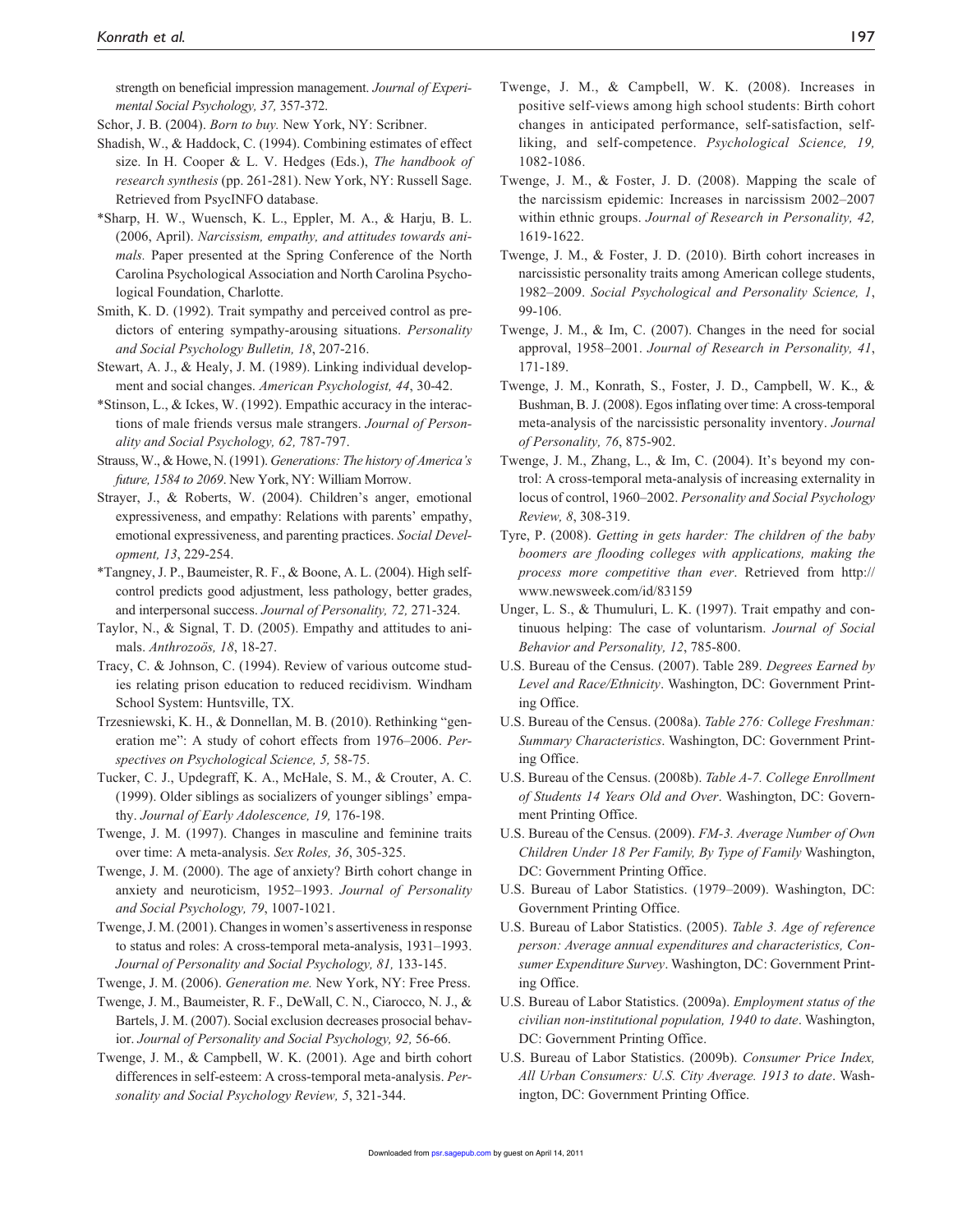strength on beneficial impression management. *Journal of Experimental Social Psychology, 37,* 357-372.

- Schor, J. B. (2004). *Born to buy.* New York, NY: Scribner.
- Shadish, W., & Haddock, C. (1994). Combining estimates of effect size. In H. Cooper & L. V. Hedges (Eds.), *The handbook of research synthesis* (pp. 261-281). New York, NY: Russell Sage. Retrieved from PsycINFO database.
- \*Sharp, H. W., Wuensch, K. L., Eppler, M. A., & Harju, B. L. (2006, April). *Narcissism, empathy, and attitudes towards animals.* Paper presented at the Spring Conference of the North Carolina Psychological Association and North Carolina Psychological Foundation, Charlotte.
- Smith, K. D. (1992). Trait sympathy and perceived control as predictors of entering sympathy-arousing situations. *Personality and Social Psychology Bulletin, 18*, 207-216.
- Stewart, A. J., & Healy, J. M. (1989). Linking individual development and social changes. *American Psychologist, 44*, 30-42.
- \*Stinson, L., & Ickes, W. (1992). Empathic accuracy in the interactions of male friends versus male strangers. *Journal of Personality and Social Psychology, 62,* 787-797.
- Strauss, W., & Howe, N. (1991). *Generations: The history of America's future, 1584 to 2069*. New York, NY: William Morrow.
- Strayer, J., & Roberts, W. (2004). Children's anger, emotional expressiveness, and empathy: Relations with parents' empathy, emotional expressiveness, and parenting practices. *Social Development, 13*, 229-254.
- \*Tangney, J. P., Baumeister, R. F., & Boone, A. L. (2004). High selfcontrol predicts good adjustment, less pathology, better grades, and interpersonal success. *Journal of Personality, 72,* 271-324.
- Taylor, N., & Signal, T. D. (2005). Empathy and attitudes to animals. *Anthrozoös, 18*, 18-27.
- Tracy, C. & Johnson, C. (1994). Review of various outcome studies relating prison education to reduced recidivism. Windham School System: Huntsville, TX.
- Trzesniewski, K. H., & Donnellan, M. B. (2010). Rethinking "generation me": A study of cohort effects from 1976–2006. *Perspectives on Psychological Science, 5,* 58-75.
- Tucker, C. J., Updegraff, K. A., McHale, S. M., & Crouter, A. C. (1999). Older siblings as socializers of younger siblings' empathy. *Journal of Early Adolescence, 19,* 176-198.
- Twenge, J. M. (1997). Changes in masculine and feminine traits over time: A meta-analysis. *Sex Roles, 36*, 305-325.
- Twenge, J. M. (2000). The age of anxiety? Birth cohort change in anxiety and neuroticism, 1952–1993. *Journal of Personality and Social Psychology, 79*, 1007-1021.
- Twenge, J. M. (2001). Changes in women's assertiveness in response to status and roles: A cross-temporal meta-analysis, 1931–1993. *Journal of Personality and Social Psychology, 81,* 133-145.
- Twenge, J. M. (2006). *Generation me.* New York, NY: Free Press.
- Twenge, J. M., Baumeister, R. F., DeWall, C. N., Ciarocco, N. J., & Bartels, J. M. (2007). Social exclusion decreases prosocial behavior. *Journal of Personality and Social Psychology, 92,* 56-66.
- Twenge, J. M., & Campbell, W. K. (2001). Age and birth cohort differences in self-esteem: A cross-temporal meta-analysis. *Personality and Social Psychology Review, 5*, 321-344.
- Twenge, J. M., & Campbell, W. K. (2008). Increases in positive self-views among high school students: Birth cohort changes in anticipated performance, self-satisfaction, selfliking, and self-competence. *Psychological Science, 19,* 1082-1086.
- Twenge, J. M., & Foster, J. D. (2008). Mapping the scale of the narcissism epidemic: Increases in narcissism 2002–2007 within ethnic groups. *Journal of Research in Personality, 42,* 1619-1622.
- Twenge, J. M., & Foster, J. D. (2010). Birth cohort increases in narcissistic personality traits among American college students, 1982–2009. *Social Psychological and Personality Science, 1*, 99-106.
- Twenge, J. M., & Im, C. (2007). Changes in the need for social approval, 1958–2001. *Journal of Research in Personality, 41*, 171-189.
- Twenge, J. M., Konrath, S., Foster, J. D., Campbell, W. K., & Bushman, B. J. (2008). Egos inflating over time: A cross-temporal meta-analysis of the narcissistic personality inventory. *Journal of Personality, 76*, 875-902.
- Twenge, J. M., Zhang, L., & Im, C. (2004). It's beyond my control: A cross-temporal meta-analysis of increasing externality in locus of control, 1960–2002. *Personality and Social Psychology Review, 8*, 308-319.
- Tyre, P. (2008). *Getting in gets harder: The children of the baby boomers are flooding colleges with applications, making the process more competitive than ever*. Retrieved from http:// www.newsweek.com/id/83159
- Unger, L. S., & Thumuluri, L. K. (1997). Trait empathy and continuous helping: The case of voluntarism. *Journal of Social Behavior and Personality, 12*, 785-800.
- U.S. Bureau of the Census. (2007). Table 289. *Degrees Earned by Level and Race/Ethnicity*. Washington, DC: Government Printing Office.
- U.S. Bureau of the Census. (2008a). *Table 276: College Freshman: Summary Characteristics*. Washington, DC: Government Printing Office.
- U.S. Bureau of the Census. (2008b). *Table A-7. College Enrollment of Students 14 Years Old and Over*. Washington, DC: Government Printing Office.
- U.S. Bureau of the Census. (2009). *FM-3. Average Number of Own Children Under 18 Per Family, By Type of Family* Washington, DC: Government Printing Office.
- U.S. Bureau of Labor Statistics. (1979–2009). Washington, DC: Government Printing Office.
- U.S. Bureau of Labor Statistics. (2005). *Table 3. Age of reference person: Average annual expenditures and characteristics, Consumer Expenditure Survey*. Washington, DC: Government Printing Office.
- U.S. Bureau of Labor Statistics. (2009a). *Employment status of the civilian non-institutional population, 1940 to date*. Washington, DC: Government Printing Office.
- U.S. Bureau of Labor Statistics. (2009b). *Consumer Price Index, All Urban Consumers: U.S. City Average. 1913 to date*. Washington, DC: Government Printing Office.